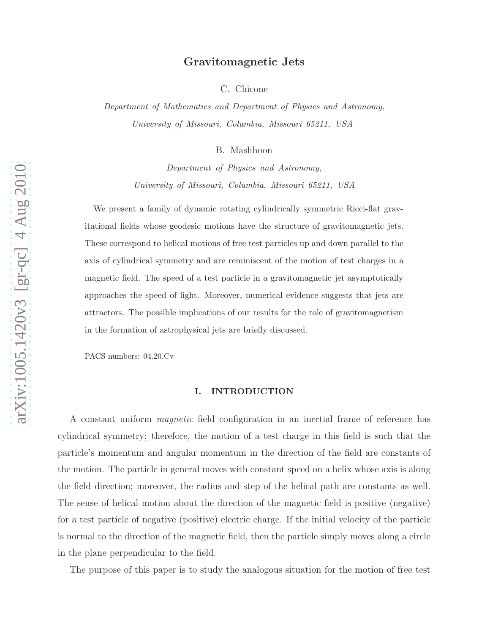# Gravitomagnetic Jets

C. Chicone

Department of Mathematics and Department of Physics and Astronomy, University of Missouri, Columbia, Missouri 65211, USA

B. Mashhoon

Department of Physics and Astronomy, University of Missouri, Columbia, Missouri 65211, USA

We present a family of dynamic rotating cylindrically symmetric Ricci-flat gravitational fields whose geodesic motions have the structure of gravitomagnetic jets. These correspond to helical motions of free test particles up and down parallel to the axis of cylindrical symmetry and are reminiscent of the motion of test charges in a magnetic field. The speed of a test particle in a gravitomagnetic jet asymptotically approaches the speed of light. Moreover, numerical evidence suggests that jets are attractors. The possible implications of our results for the role of gravitomagnetism in the formation of astrophysical jets are briefly discussed.

PACS numbers: 04.20.Cv

### I. INTRODUCTION

A constant uniform magnetic field configuration in an inertial frame of reference has cylindrical symmetry; therefore, the motion of a test charge in this field is such that the particle's momentum and angular momentum in the direction of the field are constants of the motion. The particle in general moves with constant speed on a helix whose axis is along the field direction; moreover, the radius and step of the helical path are constants as well. The sense of helical motion about the direction of the magnetic field is positive (negative) for a test particle of negative (positive) electric charge. If the initial velocity of the particle is normal to the direction of the magnetic field, then the particle simply moves along a circle in the plane perpendicular to the field.

The purpose of this paper is to study the analogous situation for the motion of free test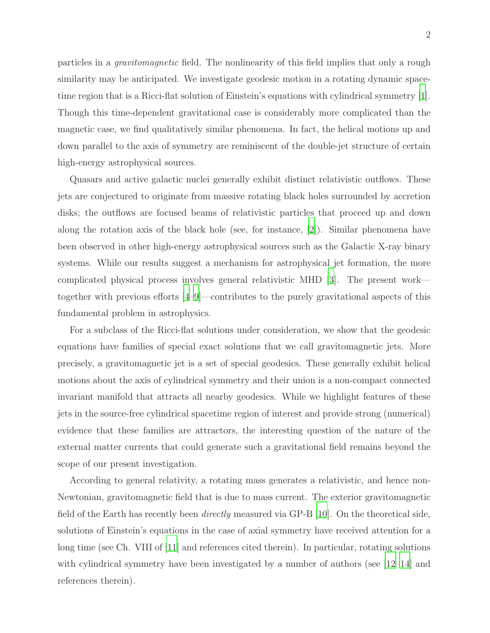particles in a *gravitomagnetic* field. The nonlinearity of this field implies that only a rough similarity may be anticipated. We investigate geodesic motion in a rotating dynamic spacetime region that is a Ricci-flat solution of Einstein's equations with cylindrical symmetry [\[1\]](#page-46-0). Though this time-dependent gravitational case is considerably more complicated than the magnetic case, we find qualitatively similar phenomena. In fact, the helical motions up and down parallel to the axis of symmetry are reminiscent of the double-jet structure of certain high-energy astrophysical sources.

Quasars and active galactic nuclei generally exhibit distinct relativistic outflows. These jets are conjectured to originate from massive rotating black holes surrounded by accretion disks; the outflows are focused beams of relativistic particles that proceed up and down along the rotation axis of the black hole (see, for instance, [\[2\]](#page-46-1)). Similar phenomena have been observed in other high-energy astrophysical sources such as the Galactic X-ray binary systems. While our results suggest a mechanism for astrophysical jet formation, the more complicated physical process involves general relativistic MHD [\[3](#page-46-2)]. The present work together with previous efforts [\[4](#page-46-3)[–9\]](#page-46-4)—contributes to the purely gravitational aspects of this fundamental problem in astrophysics.

For a subclass of the Ricci-flat solutions under consideration, we show that the geodesic equations have families of special exact solutions that we call gravitomagnetic jets. More precisely, a gravitomagnetic jet is a set of special geodesics. These generally exhibit helical motions about the axis of cylindrical symmetry and their union is a non-compact connected invariant manifold that attracts all nearby geodesics. While we highlight features of these jets in the source-free cylindrical spacetime region of interest and provide strong (numerical) evidence that these families are attractors, the interesting question of the nature of the external matter currents that could generate such a gravitational field remains beyond the scope of our present investigation.

According to general relativity, a rotating mass generates a relativistic, and hence non-Newtonian, gravitomagnetic field that is due to mass current. The exterior gravitomagnetic field of the Earth has recently been directly measured via GP-B [\[10\]](#page-46-5). On the theoretical side, solutions of Einstein's equations in the case of axial symmetry have received attention for a long time (see Ch. VIII of [\[11](#page-46-6)] and references cited therein). In particular, rotating solutions with cylindrical symmetry have been investigated by a number of authors (see [\[12](#page-46-7)[–14](#page-46-8)] and references therein).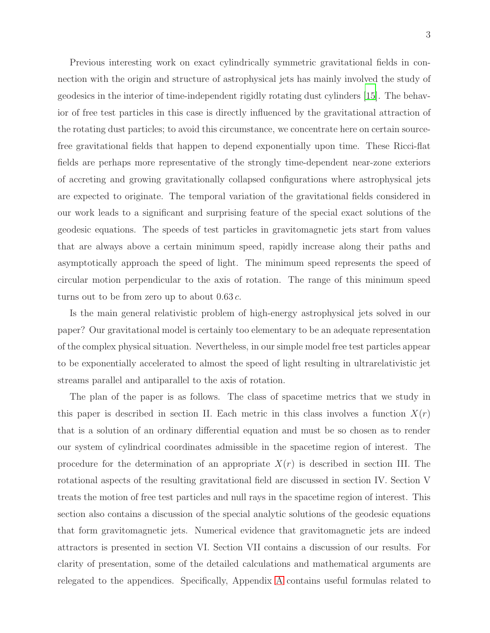Previous interesting work on exact cylindrically symmetric gravitational fields in connection with the origin and structure of astrophysical jets has mainly involved the study of geodesics in the interior of time-independent rigidly rotating dust cylinders [\[15](#page-46-9)]. The behavior of free test particles in this case is directly influenced by the gravitational attraction of the rotating dust particles; to avoid this circumstance, we concentrate here on certain sourcefree gravitational fields that happen to depend exponentially upon time. These Ricci-flat fields are perhaps more representative of the strongly time-dependent near-zone exteriors of accreting and growing gravitationally collapsed configurations where astrophysical jets are expected to originate. The temporal variation of the gravitational fields considered in our work leads to a significant and surprising feature of the special exact solutions of the geodesic equations. The speeds of test particles in gravitomagnetic jets start from values that are always above a certain minimum speed, rapidly increase along their paths and asymptotically approach the speed of light. The minimum speed represents the speed of circular motion perpendicular to the axis of rotation. The range of this minimum speed turns out to be from zero up to about  $0.63 c$ .

Is the main general relativistic problem of high-energy astrophysical jets solved in our paper? Our gravitational model is certainly too elementary to be an adequate representation of the complex physical situation. Nevertheless, in our simple model free test particles appear to be exponentially accelerated to almost the speed of light resulting in ultrarelativistic jet streams parallel and antiparallel to the axis of rotation.

The plan of the paper is as follows. The class of spacetime metrics that we study in this paper is described in section II. Each metric in this class involves a function  $X(r)$ that is a solution of an ordinary differential equation and must be so chosen as to render our system of cylindrical coordinates admissible in the spacetime region of interest. The procedure for the determination of an appropriate  $X(r)$  is described in section III. The rotational aspects of the resulting gravitational field are discussed in section IV. Section V treats the motion of free test particles and null rays in the spacetime region of interest. This section also contains a discussion of the special analytic solutions of the geodesic equations that form gravitomagnetic jets. Numerical evidence that gravitomagnetic jets are indeed attractors is presented in section VI. Section VII contains a discussion of our results. For clarity of presentation, some of the detailed calculations and mathematical arguments are relegated to the appendices. Specifically, Appendix [A](#page-29-0) contains useful formulas related to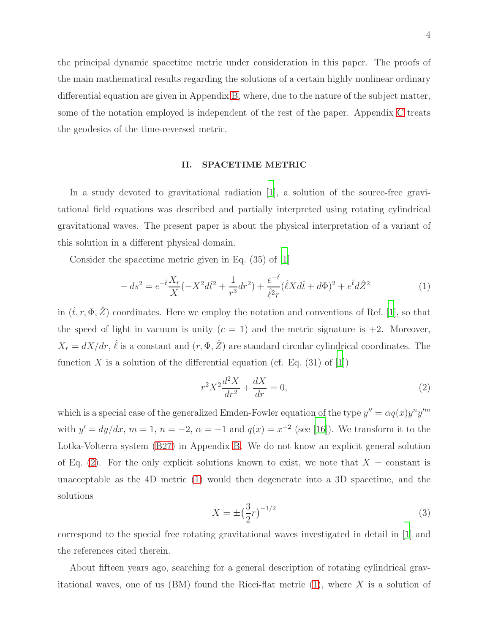the principal dynamic spacetime metric under consideration in this paper. The proofs of the main mathematical results regarding the solutions of a certain highly nonlinear ordinary differential equation are given in Appendix [B,](#page-30-0) where, due to the nature of the subject matter, some of the notation employed is independent of the rest of the paper. Appendix [C](#page-44-0) treats the geodesics of the time-reversed metric.

#### II. SPACETIME METRIC

In a study devoted to gravitational radiation [\[1\]](#page-46-0), a solution of the source-free gravitational field equations was described and partially interpreted using rotating cylindrical gravitational waves. The present paper is about the physical interpretation of a variant of this solution in a different physical domain.

Consider the spacetime metric given in Eq. (35) of [\[1](#page-46-0)]

<span id="page-3-1"></span>
$$
-ds^{2} = e^{-\hat{t}} \frac{X_{r}}{X} (-X^{2} d\hat{t}^{2} + \frac{1}{r^{3}} dr^{2}) + \frac{e^{-\hat{t}}}{\hat{\ell}^{2} r} (\hat{\ell} X d\hat{t} + d\Phi)^{2} + e^{\hat{t}} d\hat{Z}^{2}
$$
(1)

in  $(\hat{t}, r, \Phi, \hat{Z})$  coordinates. Here we employ the notation and conventions of Ref. [\[1](#page-46-0)], so that the speed of light in vacuum is unity  $(c = 1)$  and the metric signature is  $+2$ . Moreover,  $X_r = dX/dr$ ,  $\hat{\ell}$  is a constant and  $(r, \Phi, \hat{Z})$  are standard circular cylindrical coordinates. The function X is a solution of the differential equation (cf. Eq.  $(31)$  of  $[1]$ )

<span id="page-3-0"></span>
$$
r^2 X^2 \frac{d^2 X}{dr^2} + \frac{dX}{dr} = 0,
$$
\t(2)

which is a special case of the generalized Emden-Fowler equation of the type  $y'' = \alpha q(x) y^n y'^m$ with  $y' = dy/dx$ ,  $m = 1$ ,  $n = -2$ ,  $\alpha = -1$  and  $q(x) = x^{-2}$  (see [\[16\]](#page-46-10)). We transform it to the Lotka-Volterra system [\(B27\)](#page-37-0) in Appendix [B.](#page-30-0) We do not know an explicit general solution of Eq. [\(2\)](#page-3-0). For the only explicit solutions known to exist, we note that  $X = constant$  is unacceptable as the 4D metric [\(1\)](#page-3-1) would then degenerate into a 3D spacetime, and the solutions

<span id="page-3-2"></span>
$$
X = \pm \left(\frac{3}{2}r\right)^{-1/2} \tag{3}
$$

correspond to the special free rotating gravitational waves investigated in detail in [\[1\]](#page-46-0) and the references cited therein.

About fifteen years ago, searching for a general description of rotating cylindrical gravitational waves, one of us  $(BM)$  found the Ricci-flat metric  $(1)$ , where X is a solution of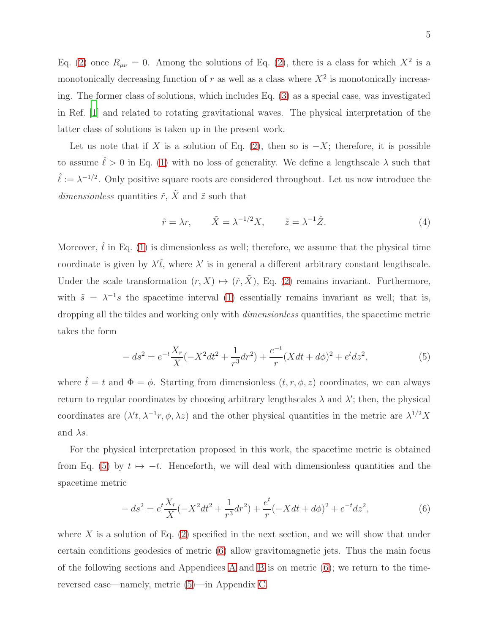Eq. [\(2\)](#page-3-0) once  $R_{\mu\nu} = 0$ . Among the solutions of Eq. (2), there is a class for which  $X^2$  is a monotonically decreasing function of  $r$  as well as a class where  $X^2$  is monotonically increasing. The former class of solutions, which includes Eq. [\(3\)](#page-3-2) as a special case, was investigated in Ref. [\[1\]](#page-46-0) and related to rotating gravitational waves. The physical interpretation of the latter class of solutions is taken up in the present work.

Let us note that if X is a solution of Eq. [\(2\)](#page-3-0), then so is  $-X$ ; therefore, it is possible to assume  $\hat{\ell} > 0$  in Eq. [\(1\)](#page-3-1) with no loss of generality. We define a lengthscale  $\lambda$  such that  $\hat{\ell} := \lambda^{-1/2}$ . Only positive square roots are considered throughout. Let us now introduce the  $dimensionless$  quantities  $\tilde{r},\,\tilde{X}$  and  $\tilde{z}$  such that

$$
\tilde{r} = \lambda r, \qquad \tilde{X} = \lambda^{-1/2} X, \qquad \tilde{z} = \lambda^{-1} \hat{Z}.
$$
 (4)

Moreover,  $\hat{t}$  in Eq. [\(1\)](#page-3-1) is dimensionless as well; therefore, we assume that the physical time coordinate is given by  $\lambda' \hat{t}$ , where  $\lambda'$  is in general a different arbitrary constant lengthscale. Under the scale transformation  $(r, X) \mapsto (\tilde{r}, \tilde{X})$ , Eq. [\(2\)](#page-3-0) remains invariant. Furthermore, with  $\tilde{s} = \lambda^{-1} s$  the spacetime interval [\(1\)](#page-3-1) essentially remains invariant as well; that is, dropping all the tildes and working only with dimensionless quantities, the spacetime metric takes the form

<span id="page-4-0"></span>
$$
-ds^{2} = e^{-t}\frac{X_{r}}{X}(-X^{2}dt^{2} + \frac{1}{r^{3}}dr^{2}) + \frac{e^{-t}}{r}(Xdt + d\phi)^{2} + e^{t}dz^{2},
$$
\n(5)

where  $\hat{t} = t$  and  $\Phi = \phi$ . Starting from dimensionless  $(t, r, \phi, z)$  coordinates, we can always return to regular coordinates by choosing arbitrary lengthscales  $\lambda$  and  $\lambda'$ ; then, the physical coordinates are  $(\lambda' t, \lambda^{-1} r, \phi, \lambda z)$  and the other physical quantities in the metric are  $\lambda^{1/2} X$ and  $\lambda s$ .

For the physical interpretation proposed in this work, the spacetime metric is obtained from Eq. [\(5\)](#page-4-0) by  $t \mapsto -t$ . Henceforth, we will deal with dimensionless quantities and the spacetime metric

<span id="page-4-1"></span>
$$
-ds^{2} = e^{t} \frac{X_{r}}{X} (-X^{2} dt^{2} + \frac{1}{r^{3}} dr^{2}) + \frac{e^{t}}{r} (-X dt + d\phi)^{2} + e^{-t} dz^{2},
$$
\n(6)

where X is a solution of Eq.  $(2)$  specified in the next section, and we will show that under certain conditions geodesics of metric [\(6\)](#page-4-1) allow gravitomagnetic jets. Thus the main focus of the following sections and [A](#page-29-0)ppendices A and [B](#page-30-0) is on metric  $(6)$ ; we return to the timereversed case—namely, metric [\(5\)](#page-4-0)—in Appendix [C.](#page-44-0)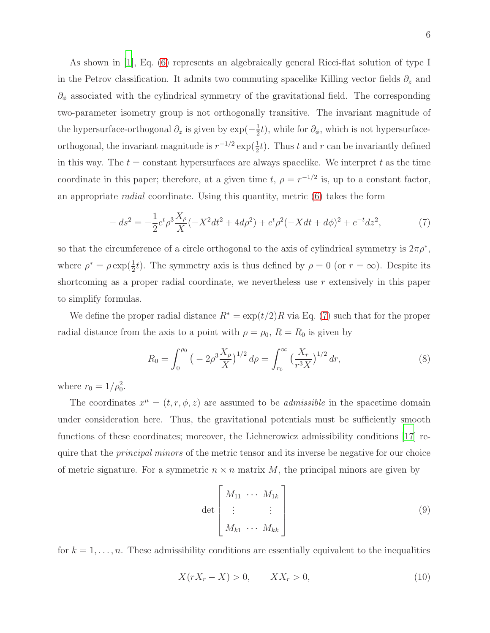As shown in [\[1](#page-46-0)], Eq. [\(6\)](#page-4-1) represents an algebraically general Ricci-flat solution of type I in the Petrov classification. It admits two commuting spacelike Killing vector fields  $\partial_z$  and  $\partial_{\phi}$  associated with the cylindrical symmetry of the gravitational field. The corresponding two-parameter isometry group is not orthogonally transitive. The invariant magnitude of the hypersurface-orthogonal  $\partial_z$  is given by  $\exp(-\frac{1}{2})$  $\frac{1}{2}t$ , while for  $\partial_{\phi}$ , which is not hypersurfaceorthogonal, the invariant magnitude is  $r^{-1/2} \exp(\frac{1}{2}t)$ . Thus t and r can be invariantly defined in this way. The  $t = constant$  hypersurfaces are always spacelike. We interpret t as the time coordinate in this paper; therefore, at a given time t,  $\rho = r^{-1/2}$  is, up to a constant factor, an appropriate radial coordinate. Using this quantity, metric [\(6\)](#page-4-1) takes the form

<span id="page-5-0"></span>
$$
-ds^{2} = -\frac{1}{2}e^{t}\rho^{3}\frac{X_{\rho}}{X}(-X^{2}dt^{2} + 4d\rho^{2}) + e^{t}\rho^{2}(-Xdt + d\phi)^{2} + e^{-t}dz^{2},\tag{7}
$$

so that the circumference of a circle orthogonal to the axis of cylindrical symmetry is  $2\pi \rho^*$ , where  $\rho^* = \rho \exp(\frac{1}{2}t)$ . The symmetry axis is thus defined by  $\rho = 0$  (or  $r = \infty$ ). Despite its shortcoming as a proper radial coordinate, we nevertheless use  $r$  extensively in this paper to simplify formulas.

We define the proper radial distance  $R^* = \exp(t/2)R$  via Eq. [\(7\)](#page-5-0) such that for the proper radial distance from the axis to a point with  $\rho = \rho_0$ ,  $R = R_0$  is given by

$$
R_0 = \int_0^{\rho_0} \left( -2\rho^3 \frac{X_\rho}{X} \right)^{1/2} d\rho = \int_{r_0}^\infty \left( \frac{X_r}{r^3 X} \right)^{1/2} dr,\tag{8}
$$

where  $r_0 = 1/\rho_0^2$ .

The coordinates  $x^{\mu} = (t, r, \phi, z)$  are assumed to be *admissible* in the spacetime domain under consideration here. Thus, the gravitational potentials must be sufficiently smooth functions of these coordinates; moreover, the Lichnerowicz admissibility conditions [\[17](#page-46-11)] require that the *principal minors* of the metric tensor and its inverse be negative for our choice of metric signature. For a symmetric  $n \times n$  matrix M, the principal minors are given by

$$
\det \begin{bmatrix} M_{11} & \cdots & M_{1k} \\ \vdots & & \vdots \\ M_{k1} & \cdots & M_{kk} \end{bmatrix}
$$
 (9)

for  $k = 1, \ldots, n$ . These admissibility conditions are essentially equivalent to the inequalities

$$
X(rX_r - X) > 0, \qquad XX_r > 0,\tag{10}
$$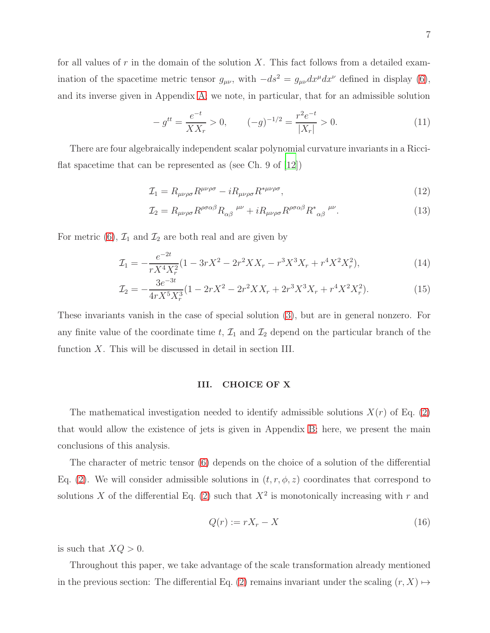for all values of r in the domain of the solution X. This fact follows from a detailed examination of the spacetime metric tensor  $g_{\mu\nu}$ , with  $-ds^2 = g_{\mu\nu}dx^{\mu}dx^{\nu}$  defined in display [\(6\)](#page-4-1), and its inverse given in Appendix [A;](#page-29-0) we note, in particular, that for an admissible solution

<span id="page-6-0"></span>
$$
-g^{tt} = \frac{e^{-t}}{XX_r} > 0, \qquad (-g)^{-1/2} = \frac{r^2 e^{-t}}{|X_r|} > 0.
$$
 (11)

There are four algebraically independent scalar polynomial curvature invariants in a Ricciflat spacetime that can be represented as (see Ch. 9 of [\[12\]](#page-46-7))

$$
\mathcal{I}_1 = R_{\mu\nu\rho\sigma} R^{\mu\nu\rho\sigma} - i R_{\mu\nu\rho\sigma} R^{*\mu\nu\rho\sigma},\tag{12}
$$

$$
\mathcal{I}_2 = R_{\mu\nu\rho\sigma} R^{\rho\sigma\alpha\beta} R_{\alpha\beta}^{\quad \mu\nu} + i R_{\mu\nu\rho\sigma} R^{\rho\sigma\alpha\beta} R^*_{\quad \alpha\beta}^{\quad \mu\nu}.\tag{13}
$$

For metric [\(6\)](#page-4-1),  $\mathcal{I}_1$  and  $\mathcal{I}_2$  are both real and are given by

$$
\mathcal{I}_1 = -\frac{e^{-2t}}{rX^4X_r^2} (1 - 3rX^2 - 2r^2XX_r - r^3X^3X_r + r^4X^2X_r^2),\tag{14}
$$

$$
\mathcal{I}_2 = -\frac{3e^{-3t}}{4rX^5X_r^3}(1 - 2rX^2 - 2r^2XX_r + 2r^3X^3X_r + r^4X^2X_r^2). \tag{15}
$$

These invariants vanish in the case of special solution [\(3\)](#page-3-2), but are in general nonzero. For any finite value of the coordinate time t,  $\mathcal{I}_1$  and  $\mathcal{I}_2$  depend on the particular branch of the function  $X$ . This will be discussed in detail in section III.

## <span id="page-6-2"></span><span id="page-6-1"></span>III. CHOICE OF X

The mathematical investigation needed to identify admissible solutions  $X(r)$  of Eq. [\(2\)](#page-3-0) that would allow the existence of jets is given in Appendix [B;](#page-30-0) here, we present the main conclusions of this analysis.

The character of metric tensor [\(6\)](#page-4-1) depends on the choice of a solution of the differential Eq. [\(2\)](#page-3-0). We will consider admissible solutions in  $(t, r, \phi, z)$  coordinates that correspond to solutions X of the differential Eq. [\(2\)](#page-3-0) such that  $X^2$  is monotonically increasing with r and

<span id="page-6-3"></span>
$$
Q(r) := rX_r - X \tag{16}
$$

is such that  $XQ > 0$ .

Throughout this paper, we take advantage of the scale transformation already mentioned in the previous section: The differential Eq. [\(2\)](#page-3-0) remains invariant under the scaling  $(r, X) \mapsto$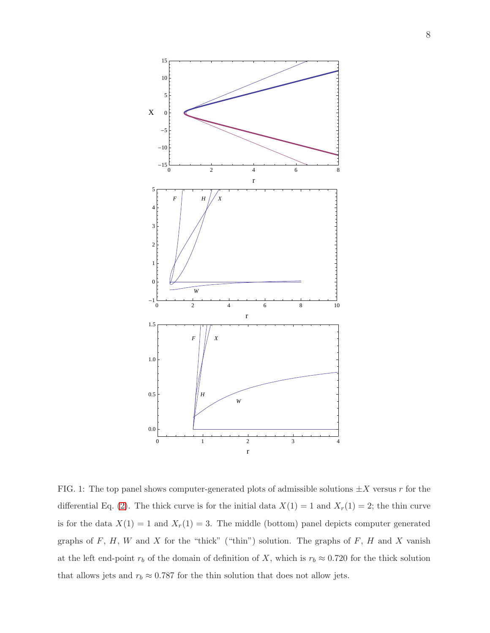

<span id="page-7-0"></span>FIG. 1: The top panel shows computer-generated plots of admissible solutions  $\pm X$  versus r for the differential Eq. [\(2\)](#page-3-0). The thick curve is for the initial data  $X(1) = 1$  and  $X<sub>r</sub>(1) = 2$ ; the thin curve is for the data  $X(1) = 1$  and  $X_r(1) = 3$ . The middle (bottom) panel depicts computer generated graphs of  $F, H, W$  and  $X$  for the "thick" ("thin") solution. The graphs of  $F, H$  and  $X$  vanish at the left end-point  $r_b$  of the domain of definition of X, which is  $r_b \approx 0.720$  for the thick solution that allows jets and  $r_b \approx 0.787$  for the thin solution that does not allow jets.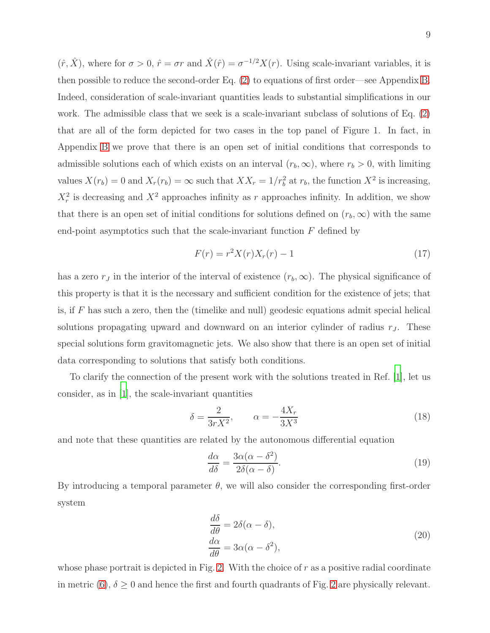$(\hat{r}, \hat{X})$ , where for  $\sigma > 0$ ,  $\hat{r} = \sigma r$  and  $\hat{X}(\hat{r}) = \sigma^{-1/2} X(r)$ . Using scale-invariant variables, it is then possible to reduce the second-order Eq. [\(2\)](#page-3-0) to equations of first order—see Appendix [B.](#page-30-0) Indeed, consideration of scale-invariant quantities leads to substantial simplifications in our work. The admissible class that we seek is a scale-invariant subclass of solutions of Eq. [\(2\)](#page-3-0) that are all of the form depicted for two cases in the top panel of Figure 1. In fact, in Appendix [B](#page-30-0) we prove that there is an open set of initial conditions that corresponds to admissible solutions each of which exists on an interval  $(r_b, \infty)$ , where  $r_b > 0$ , with limiting values  $X(r_b) = 0$  and  $X_r(r_b) = \infty$  such that  $XX_r = 1/r_b^2$  at  $r_b$ , the function  $X^2$  is increasing,  $X_r^2$  is decreasing and  $X^2$  approaches infinity as r approaches infinity. In addition, we show that there is an open set of initial conditions for solutions defined on  $(r_b, \infty)$  with the same end-point asymptotics such that the scale-invariant function  $F$  defined by

<span id="page-8-1"></span>
$$
F(r) = r^2 X(r) X_r(r) - 1
$$
\n(17)

has a zero  $r_J$  in the interior of the interval of existence  $(r_b, \infty)$ . The physical significance of this property is that it is the necessary and sufficient condition for the existence of jets; that is, if  $F$  has such a zero, then the (timelike and null) geodesic equations admit special helical solutions propagating upward and downward on an interior cylinder of radius  $r<sub>J</sub>$ . These special solutions form gravitomagnetic jets. We also show that there is an open set of initial data corresponding to solutions that satisfy both conditions.

To clarify the connection of the present work with the solutions treated in Ref. [\[1](#page-46-0)], let us consider, as in  $|1|$ , the scale-invariant quantities

$$
\delta = \frac{2}{3rX^2}, \qquad \alpha = -\frac{4X_r}{3X^3} \tag{18}
$$

and note that these quantities are related by the autonomous differential equation

$$
\frac{d\alpha}{d\delta} = \frac{3\alpha(\alpha - \delta^2)}{2\delta(\alpha - \delta)}.\tag{19}
$$

By introducing a temporal parameter  $\theta$ , we will also consider the corresponding first-order system

$$
\begin{aligned}\n\frac{d\delta}{d\theta} &= 2\delta(\alpha - \delta),\\
\frac{d\alpha}{d\theta} &= 3\alpha(\alpha - \delta^2),\n\end{aligned} \tag{20}
$$

<span id="page-8-0"></span>whose phase portrait is depicted in Fig. [2.](#page-9-0) With the choice of  $r$  as a positive radial coordinate in metric [\(6\)](#page-4-1),  $\delta \geq 0$  and hence the first and fourth quadrants of Fig. [2](#page-9-0) are physically relevant.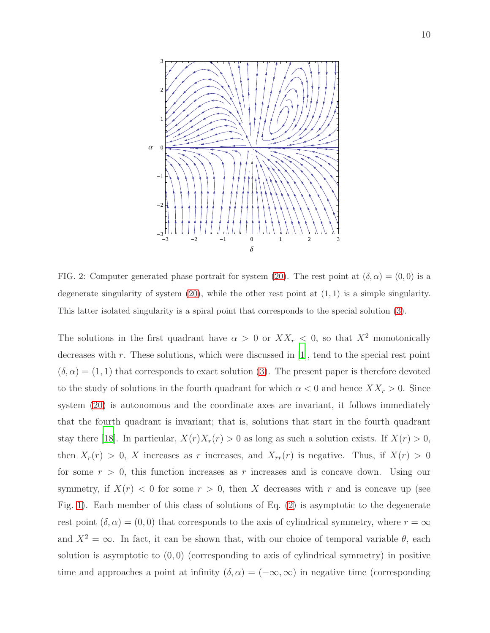

<span id="page-9-0"></span>FIG. 2: Computer generated phase portrait for system [\(20\)](#page-8-0). The rest point at  $(\delta, \alpha) = (0, 0)$  is a degenerate singularity of system  $(20)$ , while the other rest point at  $(1, 1)$  is a simple singularity. This latter isolated singularity is a spiral point that corresponds to the special solution [\(3\)](#page-3-2).

The solutions in the first quadrant have  $\alpha > 0$  or  $XX_r < 0$ , so that  $X^2$  monotonically decreases with  $r$ . These solutions, which were discussed in [\[1\]](#page-46-0), tend to the special rest point  $(\delta, \alpha) = (1, 1)$  that corresponds to exact solution [\(3\)](#page-3-2). The present paper is therefore devoted to the study of solutions in the fourth quadrant for which  $\alpha < 0$  and hence  $XX_r > 0$ . Since system [\(20\)](#page-8-0) is autonomous and the coordinate axes are invariant, it follows immediately that the fourth quadrant is invariant; that is, solutions that start in the fourth quadrant stay there [\[18\]](#page-46-12). In particular,  $X(r)X_r(r) > 0$  as long as such a solution exists. If  $X(r) > 0$ , then  $X_r(r) > 0$ , X increases as r increases, and  $X_{rr}(r)$  is negative. Thus, if  $X(r) > 0$ for some  $r > 0$ , this function increases as r increases and is concave down. Using our symmetry, if  $X(r) < 0$  for some  $r > 0$ , then X decreases with r and is concave up (see Fig. [1\)](#page-7-0). Each member of this class of solutions of Eq. [\(2\)](#page-3-0) is asymptotic to the degenerate rest point  $(\delta, \alpha) = (0, 0)$  that corresponds to the axis of cylindrical symmetry, where  $r = \infty$ and  $X^2 = \infty$ . In fact, it can be shown that, with our choice of temporal variable  $\theta$ , each solution is asymptotic to  $(0, 0)$  (corresponding to axis of cylindrical symmetry) in positive time and approaches a point at infinity  $(\delta, \alpha) = (-\infty, \infty)$  in negative time (corresponding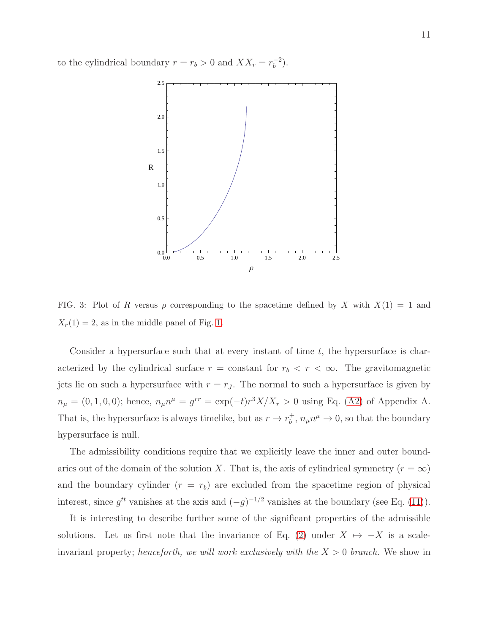to the cylindrical boundary  $r = r_b > 0$  and  $XX_r = r_b^{-2}$  $\binom{-2}{b}$ .



<span id="page-10-0"></span>FIG. 3: Plot of R versus  $\rho$  corresponding to the spacetime defined by X with  $X(1) = 1$  and  $X_r(1) = 2$ , as in the middle panel of Fig. [1.](#page-7-0)

Consider a hypersurface such that at every instant of time  $t$ , the hypersurface is characterized by the cylindrical surface  $r = constant$  for  $r_b < r < \infty$ . The gravitomagnetic jets lie on such a hypersurface with  $r = r_J$ . The normal to such a hypersurface is given by  $n_{\mu} = (0, 1, 0, 0);$  hence,  $n_{\mu}n^{\mu} = g^{rr} = \exp(-t)r^3X/X_r > 0$  using Eq. [\(A2\)](#page-29-1) of Appendix A. That is, the hypersurface is always timelike, but as  $r \to r_b^+$  $_b^+, n_\mu n^\mu \to 0$ , so that the boundary hypersurface is null.

The admissibility conditions require that we explicitly leave the inner and outer boundaries out of the domain of the solution X. That is, the axis of cylindrical symmetry  $(r = \infty)$ and the boundary cylinder  $(r = r_b)$  are excluded from the spacetime region of physical interest, since  $g^{tt}$  vanishes at the axis and  $(-g)^{-1/2}$  vanishes at the boundary (see Eq. [\(11\)](#page-6-0)).

It is interesting to describe further some of the significant properties of the admissible solutions. Let us first note that the invariance of Eq. [\(2\)](#page-3-0) under  $X \mapsto -X$  is a scaleinvariant property; henceforth, we will work exclusively with the  $X > 0$  branch. We show in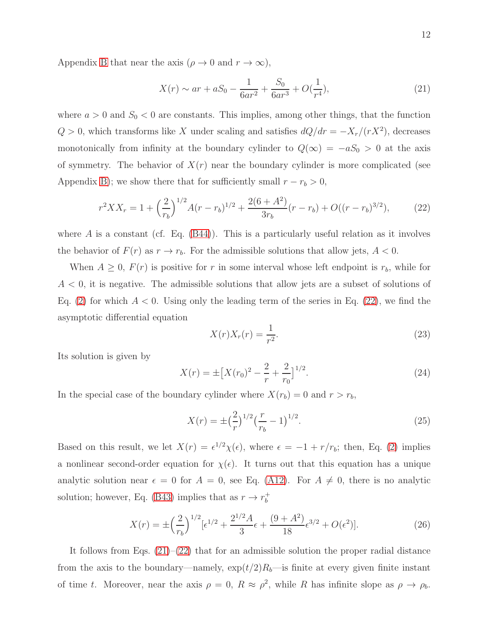Appendix [B](#page-30-0) that near the axis ( $\rho \to 0$  and  $r \to \infty$ ),

<span id="page-11-1"></span>
$$
X(r) \sim ar + aS_0 - \frac{1}{6ar^2} + \frac{S_0}{6ar^3} + O(\frac{1}{r^4}),\tag{21}
$$

where  $a > 0$  and  $S_0 < 0$  are constants. This implies, among other things, that the function  $Q > 0$ , which transforms like X under scaling and satisfies  $dQ/dr = -X_r/(rX^2)$ , decreases monotonically from infinity at the boundary cylinder to  $Q(\infty) = -aS_0 > 0$  at the axis of symmetry. The behavior of  $X(r)$  near the boundary cylinder is more complicated (see Appendix [B\)](#page-30-0); we show there that for sufficiently small  $r - r_b > 0$ ,

<span id="page-11-0"></span>
$$
r^{2}XX_{r} = 1 + \left(\frac{2}{r_{b}}\right)^{1/2} A(r - r_{b})^{1/2} + \frac{2(6 + A^{2})}{3r_{b}}(r - r_{b}) + O((r - r_{b})^{3/2}), \tag{22}
$$

where  $\hat{A}$  is a constant (cf. Eq.  $(B44)$ ). This is a particularly useful relation as it involves the behavior of  $F(r)$  as  $r \to r_b$ . For the admissible solutions that allow jets,  $A < 0$ .

When  $A \geq 0$ ,  $F(r)$  is positive for r in some interval whose left endpoint is  $r_b$ , while for  $A < 0$ , it is negative. The admissible solutions that allow jets are a subset of solutions of Eq. [\(2\)](#page-3-0) for which  $A < 0$ . Using only the leading term of the series in Eq. [\(22\)](#page-11-0), we find the asymptotic differential equation

$$
X(r)X_r(r) = \frac{1}{r^2}.\tag{23}
$$

Its solution is given by

$$
X(r) = \pm \left[ X(r_0)^2 - \frac{2}{r} + \frac{2}{r_0} \right]^{1/2}.
$$
 (24)

In the special case of the boundary cylinder where  $X(r_b) = 0$  and  $r > r_b$ ,

<span id="page-11-2"></span>
$$
X(r) = \pm \left(\frac{2}{r}\right)^{1/2} \left(\frac{r}{r_b} - 1\right)^{1/2}.
$$
\n(25)

Based on this result, we let  $X(r) = \epsilon^{1/2} \chi(\epsilon)$ , where  $\epsilon = -1 + r/r_b$ ; then, Eq. [\(2\)](#page-3-0) implies a nonlinear second-order equation for  $\chi(\epsilon)$ . It turns out that this equation has a unique analytic solution near  $\epsilon = 0$  for  $A = 0$ , see Eq. [\(A12\)](#page-30-1). For  $A \neq 0$ , there is no analytic solution; however, Eq. [\(B43\)](#page-44-2) implies that as  $r \to r_b^+$ b

$$
X(r) = \pm \left(\frac{2}{r_b}\right)^{1/2} \left[\epsilon^{1/2} + \frac{2^{1/2}A}{3}\epsilon + \frac{(9+A^2)}{18}\epsilon^{3/2} + O(\epsilon^2)\right].\tag{26}
$$

It follows from Eqs.  $(21)$ – $(22)$  that for an admissible solution the proper radial distance from the axis to the boundary—namely,  $\exp(t/2)R_b$ —is finite at every given finite instant of time t. Moreover, near the axis  $\rho = 0$ ,  $R \approx \rho^2$ , while R has infinite slope as  $\rho \to \rho_b$ .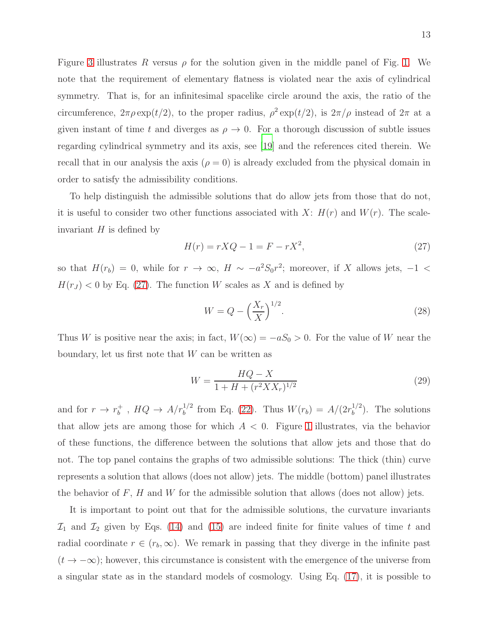Figure [3](#page-10-0) illustrates R versus  $\rho$  for the solution given in the middle panel of Fig. [1.](#page-7-0) We note that the requirement of elementary flatness is violated near the axis of cylindrical symmetry. That is, for an infinitesimal spacelike circle around the axis, the ratio of the circumference,  $2\pi \rho \exp(t/2)$ , to the proper radius,  $\rho^2 \exp(t/2)$ , is  $2\pi/\rho$  instead of  $2\pi$  at a given instant of time t and diverges as  $\rho \to 0$ . For a thorough discussion of subtle issues regarding cylindrical symmetry and its axis, see [\[19](#page-47-0)] and the references cited therein. We recall that in our analysis the axis  $(\rho = 0)$  is already excluded from the physical domain in

To help distinguish the admissible solutions that do allow jets from those that do not, it is useful to consider two other functions associated with  $X: H(r)$  and  $W(r)$ . The scaleinvariant  $H$  is defined by

order to satisfy the admissibility conditions.

<span id="page-12-0"></span>
$$
H(r) = rXQ - 1 = F - rX^2,\tag{27}
$$

so that  $H(r_b) = 0$ , while for  $r \to \infty$ ,  $H \sim -a^2S_0r^2$ ; moreover, if X allows jets,  $-1$  <  $H(r_J)$  < 0 by Eq. [\(27\)](#page-12-0). The function W scales as X and is defined by

$$
W = Q - \left(\frac{X_r}{X}\right)^{1/2}.\tag{28}
$$

Thus W is positive near the axis; in fact,  $W(\infty) = -aS_0 > 0$ . For the value of W near the boundary, let us first note that  $W$  can be written as

$$
W = \frac{HQ - X}{1 + H + (r^2 X X_r)^{1/2}}
$$
\n(29)

and for  $r \to r_b^+$  $_b^+$ ,  $HQ \rightarrow A/r_b^{1/2}$  from Eq. [\(22\)](#page-11-0). Thus  $W(r_b) = A/(2r_b^{1/2})$  $b^{1/2}$ ). The solutions that allow jets are among those for which  $A < 0$ . Figure [1](#page-7-0) illustrates, via the behavior of these functions, the difference between the solutions that allow jets and those that do not. The top panel contains the graphs of two admissible solutions: The thick (thin) curve represents a solution that allows (does not allow) jets. The middle (bottom) panel illustrates the behavior of  $F$ ,  $H$  and  $W$  for the admissible solution that allows (does not allow) jets.

It is important to point out that for the admissible solutions, the curvature invariants  $\mathcal{I}_1$  and  $\mathcal{I}_2$  given by Eqs. [\(14\)](#page-6-1) and [\(15\)](#page-6-2) are indeed finite for finite values of time t and radial coordinate  $r \in (r_b, \infty)$ . We remark in passing that they diverge in the infinite past  $(t \to -\infty)$ ; however, this circumstance is consistent with the emergence of the universe from a singular state as in the standard models of cosmology. Using Eq. [\(17\)](#page-8-1), it is possible to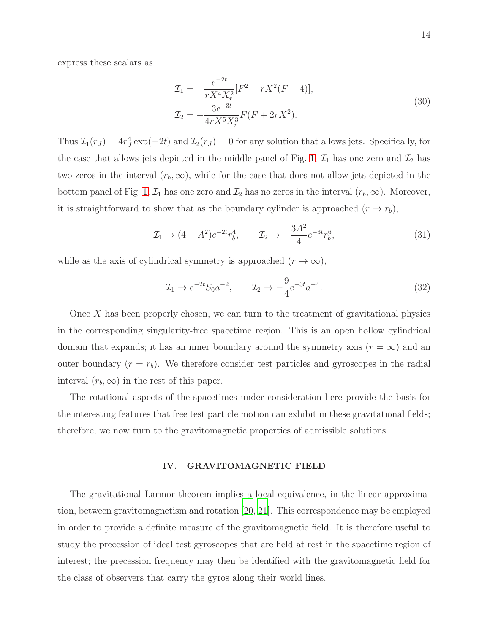express these scalars as

$$
\mathcal{I}_1 = -\frac{e^{-2t}}{rX^4X_r^2} [F^2 - rX^2(F+4)],
$$
  
\n
$$
\mathcal{I}_2 = -\frac{3e^{-3t}}{4rX^5X_r^3} F(F+2rX^2).
$$
\n(30)

Thus  $\mathcal{I}_1(r_J) = 4r_J^4 \exp(-2t)$  and  $\mathcal{I}_2(r_J) = 0$  for any solution that allows jets. Specifically, for the case that allows jets depicted in the middle panel of Fig. [1,](#page-7-0)  $\mathcal{I}_1$  has one zero and  $\mathcal{I}_2$  has two zeros in the interval  $(r_b, \infty)$ , while for the case that does not allow jets depicted in the bottom panel of Fig. [1,](#page-7-0)  $\mathcal{I}_1$  has one zero and  $\mathcal{I}_2$  has no zeros in the interval  $(r_b, \infty)$ . Moreover, it is straightforward to show that as the boundary cylinder is approached  $(r \to r_b)$ ,

$$
\mathcal{I}_1 \to (4 - A^2)e^{-2t}r_b^4, \qquad \mathcal{I}_2 \to -\frac{3A^2}{4}e^{-3t}r_b^6,\tag{31}
$$

while as the axis of cylindrical symmetry is approached  $(r \to \infty)$ ,

$$
\mathcal{I}_1 \to e^{-2t} S_0 a^{-2}, \qquad \mathcal{I}_2 \to -\frac{9}{4} e^{-3t} a^{-4}.
$$
 (32)

Once  $X$  has been properly chosen, we can turn to the treatment of gravitational physics in the corresponding singularity-free spacetime region. This is an open hollow cylindrical domain that expands; it has an inner boundary around the symmetry axis  $(r = \infty)$  and an outer boundary  $(r = r_b)$ . We therefore consider test particles and gyroscopes in the radial interval  $(r_b, \infty)$  in the rest of this paper.

The rotational aspects of the spacetimes under consideration here provide the basis for the interesting features that free test particle motion can exhibit in these gravitational fields; therefore, we now turn to the gravitomagnetic properties of admissible solutions.

# IV. GRAVITOMAGNETIC FIELD

The gravitational Larmor theorem implies a local equivalence, in the linear approximation, between gravitomagnetism and rotation [\[20,](#page-47-1) [21](#page-47-2)]. This correspondence may be employed in order to provide a definite measure of the gravitomagnetic field. It is therefore useful to study the precession of ideal test gyroscopes that are held at rest in the spacetime region of interest; the precession frequency may then be identified with the gravitomagnetic field for the class of observers that carry the gyros along their world lines.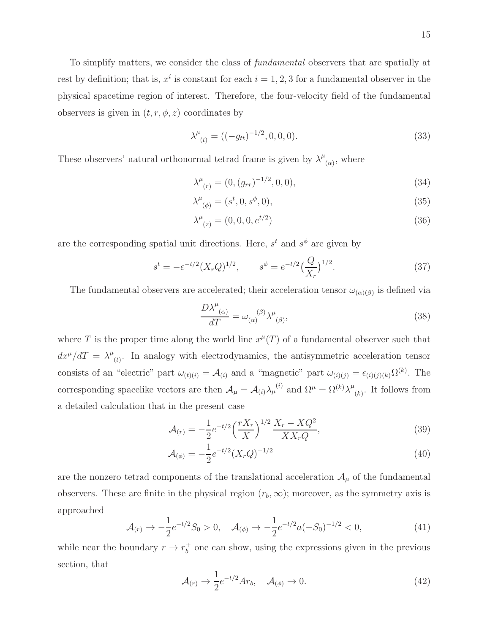To simplify matters, we consider the class of fundamental observers that are spatially at rest by definition; that is,  $x^i$  is constant for each  $i = 1, 2, 3$  for a fundamental observer in the physical spacetime region of interest. Therefore, the four-velocity field of the fundamental observers is given in  $(t, r, \phi, z)$  coordinates by

<span id="page-14-2"></span>
$$
\lambda^{\mu}_{(t)} = ((-g_{tt})^{-1/2}, 0, 0, 0). \tag{33}
$$

These observers' natural orthonormal tetrad frame is given by  $\lambda^{\mu}$  $_{(\alpha)}$ , where

$$
\lambda^{\mu}_{(r)} = (0, (g_{rr})^{-1/2}, 0, 0), \tag{34}
$$

$$
\lambda^{\mu}_{(\phi)} = (s^t, 0, s^{\phi}, 0), \tag{35}
$$

$$
\lambda^{\mu}_{(z)} = (0, 0, 0, e^{t/2})
$$
\n(36)

are the corresponding spatial unit directions. Here,  $s^t$  and  $s^{\phi}$  are given by

$$
s^{t} = -e^{-t/2}(X_rQ)^{1/2}, \qquad s^{\phi} = e^{-t/2}\left(\frac{Q}{X_r}\right)^{1/2}.
$$
 (37)

The fundamental observers are accelerated; their acceleration tensor  $\omega_{(\alpha)(\beta)}$  is defined via

<span id="page-14-0"></span>
$$
\frac{D\lambda^{\mu}{}_{(\alpha)}}{dT} = \omega_{(\alpha)}{}^{(\beta)}\lambda^{\mu}{}_{(\beta)},\tag{38}
$$

where T is the proper time along the world line  $x^{\mu}(T)$  of a fundamental observer such that  $dx^{\mu}/dT = \lambda^{\mu}$  $(t)$ . In analogy with electrodynamics, the antisymmetric acceleration tensor consists of an "electric" part  $\omega_{(t)(i)} = A_{(i)}$  and a "magnetic" part  $\omega_{(i)(j)} = \epsilon_{(i)(j)(k)} \Omega^{(k)}$ . The corresponding spacelike vectors are then  $\mathcal{A}_{\mu} = \mathcal{A}_{(i)} \lambda_{\mu}^{(i)}$  and  $\Omega^{\mu} = \Omega^{(k)} \lambda^{\mu}$  $(k)$ . It follows from a detailed calculation that in the present case

<span id="page-14-1"></span>
$$
\mathcal{A}_{(r)} = -\frac{1}{2} e^{-t/2} \left(\frac{rX_r}{X}\right)^{1/2} \frac{X_r - XQ^2}{XX_r Q},\tag{39}
$$

$$
\mathcal{A}_{(\phi)} = -\frac{1}{2}e^{-t/2}(X_rQ)^{-1/2} \tag{40}
$$

are the nonzero tetrad components of the translational acceleration  $\mathcal{A}_{\mu}$  of the fundamental observers. These are finite in the physical region  $(r_b, \infty)$ ; moreover, as the symmetry axis is approached

$$
\mathcal{A}_{(r)} \to -\frac{1}{2} e^{-t/2} S_0 > 0, \quad \mathcal{A}_{(\phi)} \to -\frac{1}{2} e^{-t/2} a (-S_0)^{-1/2} < 0, \tag{41}
$$

while near the boundary  $r \to r_b^+$  $_b^+$  one can show, using the expressions given in the previous section, that

$$
\mathcal{A}_{(r)} \to \frac{1}{2} e^{-t/2} A r_b, \quad \mathcal{A}_{(\phi)} \to 0. \tag{42}
$$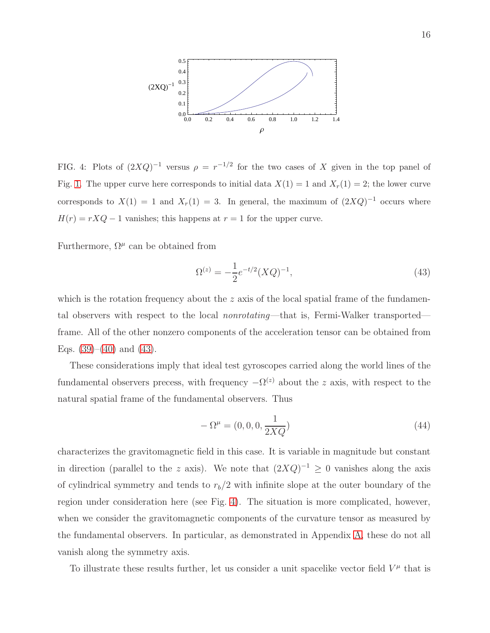

<span id="page-15-1"></span>FIG. 4: Plots of  $(2XQ)^{-1}$  versus  $\rho = r^{-1/2}$  for the two cases of X given in the top panel of Fig. [1.](#page-7-0) The upper curve here corresponds to initial data  $X(1) = 1$  and  $X<sub>r</sub>(1) = 2$ ; the lower curve corresponds to  $X(1) = 1$  and  $X_r(1) = 3$ . In general, the maximum of  $(2XQ)^{-1}$  occurs where  $H(r) = rXQ - 1$  vanishes; this happens at  $r = 1$  for the upper curve.

Furthermore,  $\Omega^{\mu}$  can be obtained from

<span id="page-15-0"></span>
$$
\Omega^{(z)} = -\frac{1}{2}e^{-t/2}(XQ)^{-1},\tag{43}
$$

which is the rotation frequency about the z axis of the local spatial frame of the fundamental observers with respect to the local nonrotating—that is, Fermi-Walker transported frame. All of the other nonzero components of the acceleration tensor can be obtained from Eqs.  $(39)–(40)$  $(39)–(40)$  and  $(43)$ .

These considerations imply that ideal test gyroscopes carried along the world lines of the fundamental observers precess, with frequency  $-\Omega^{(z)}$  about the z axis, with respect to the natural spatial frame of the fundamental observers. Thus

$$
-\Omega^{\mu} = (0, 0, 0, \frac{1}{2XQ})
$$
\n(44)

characterizes the gravitomagnetic field in this case. It is variable in magnitude but constant in direction (parallel to the z axis). We note that  $(2XQ)^{-1} \geq 0$  vanishes along the axis of cylindrical symmetry and tends to  $r_b/2$  with infinite slope at the outer boundary of the region under consideration here (see Fig. [4\)](#page-15-1). The situation is more complicated, however, when we consider the gravitomagnetic components of the curvature tensor as measured by the fundamental observers. In particular, as demonstrated in Appendix [A,](#page-29-0) these do not all vanish along the symmetry axis.

To illustrate these results further, let us consider a unit spacelike vector field  $V^{\mu}$  that is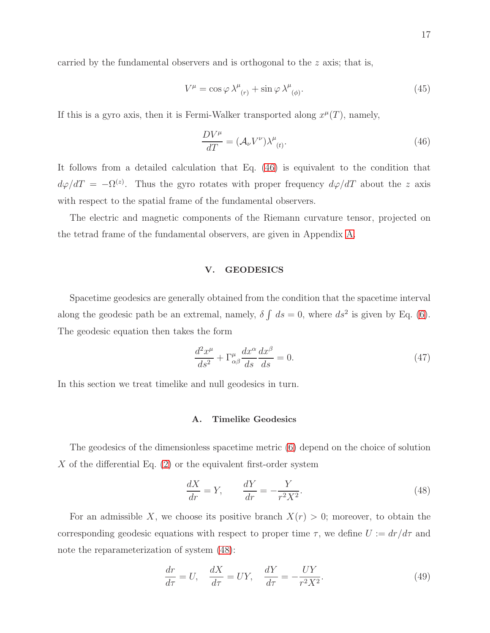carried by the fundamental observers and is orthogonal to the  $z$  axis; that is,

$$
V^{\mu} = \cos \varphi \lambda^{\mu}_{(r)} + \sin \varphi \lambda^{\mu}_{(\phi)}.
$$
\n(45)

If this is a gyro axis, then it is Fermi-Walker transported along  $x^{\mu}(T)$ , namely,

<span id="page-16-0"></span>
$$
\frac{DV^{\mu}}{dT} = (\mathcal{A}_{\nu}V^{\nu})\lambda^{\mu}_{(t)}.
$$
\n(46)

It follows from a detailed calculation that Eq. [\(46\)](#page-16-0) is equivalent to the condition that  $d\varphi/dT = -\Omega^{(z)}$ . Thus the gyro rotates with proper frequency  $d\varphi/dT$  about the z axis with respect to the spatial frame of the fundamental observers.

The electric and magnetic components of the Riemann curvature tensor, projected on the tetrad frame of the fundamental observers, are given in Appendix [A.](#page-29-0)

## V. GEODESICS

Spacetime geodesics are generally obtained from the condition that the spacetime interval along the geodesic path be an extremal, namely,  $\delta \int ds = 0$ , where  $ds^2$  is given by Eq. [\(6\)](#page-4-1). The geodesic equation then takes the form

<span id="page-16-2"></span>
$$
\frac{d^2x^{\mu}}{ds^2} + \Gamma^{\mu}_{\alpha\beta}\frac{dx^{\alpha}}{ds}\frac{dx^{\beta}}{ds} = 0.
$$
 (47)

In this section we treat timelike and null geodesics in turn.

#### A. Timelike Geodesics

The geodesics of the dimensionless spacetime metric [\(6\)](#page-4-1) depend on the choice of solution X of the differential Eq.  $(2)$  or the equivalent first-order system

<span id="page-16-1"></span>
$$
\frac{dX}{dr} = Y, \qquad \frac{dY}{dr} = -\frac{Y}{r^2 X^2}.\tag{48}
$$

For an admissible X, we choose its positive branch  $X(r) > 0$ ; moreover, to obtain the corresponding geodesic equations with respect to proper time  $\tau$ , we define  $U := dr/d\tau$  and note the reparameterization of system [\(48\)](#page-16-1):

$$
\frac{dr}{d\tau} = U, \quad \frac{dX}{d\tau} = UY, \quad \frac{dY}{d\tau} = -\frac{UY}{r^2 X^2}.
$$
\n(49)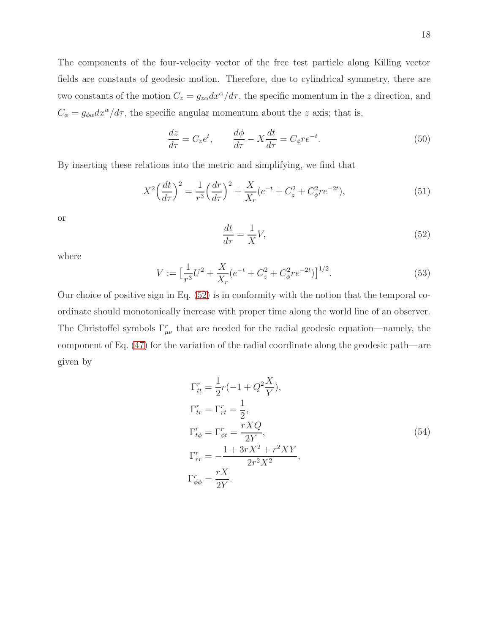The components of the four-velocity vector of the free test particle along Killing vector fields are constants of geodesic motion. Therefore, due to cylindrical symmetry, there are two constants of the motion  $C_z = g_{z\alpha}dx^{\alpha}/d\tau$ , the specific momentum in the z direction, and  $C_{\phi} = g_{\phi\alpha}dx^{\alpha}/d\tau$ , the specific angular momentum about the z axis; that is,

$$
\frac{dz}{d\tau} = C_z e^t, \qquad \frac{d\phi}{d\tau} - X \frac{dt}{d\tau} = C_\phi r e^{-t}.
$$
\n(50)

By inserting these relations into the metric and simplifying, we find that

$$
X^{2} \left(\frac{dt}{d\tau}\right)^{2} = \frac{1}{r^{3}} \left(\frac{dr}{d\tau}\right)^{2} + \frac{X}{X_{r}} (e^{-t} + C_{z}^{2} + C_{\phi}^{2} r e^{-2t}),
$$
\n(51)

or

<span id="page-17-0"></span>
$$
\frac{dt}{d\tau} = \frac{1}{X}V,\tag{52}
$$

where

<span id="page-17-2"></span>
$$
V := \left[\frac{1}{r^3}U^2 + \frac{X}{X_r}(e^{-t} + C_z^2 + C_\phi^2 r e^{-2t})\right]^{1/2}.
$$
\n(53)

Our choice of positive sign in Eq.  $(52)$  is in conformity with the notion that the temporal coordinate should monotonically increase with proper time along the world line of an observer. The Christoffel symbols  $\Gamma^r_{\mu\nu}$  that are needed for the radial geodesic equation—namely, the component of Eq. [\(47\)](#page-16-2) for the variation of the radial coordinate along the geodesic path—are given by

<span id="page-17-1"></span>
$$
\Gamma_{tt}^r = \frac{1}{2}r(-1+Q^2\frac{X}{Y}),
$$
\n
$$
\Gamma_{tr}^r = \Gamma_{rt}^r = \frac{1}{2},
$$
\n
$$
\Gamma_{t\phi}^r = \Gamma_{\phi t}^r = \frac{rXQ}{2Y},
$$
\n
$$
\Gamma_{rr}^r = -\frac{1+3rX^2+r^2XY}{2r^2X^2},
$$
\n
$$
\Gamma_{\phi\phi}^r = \frac{rX}{2Y}.
$$
\n(54)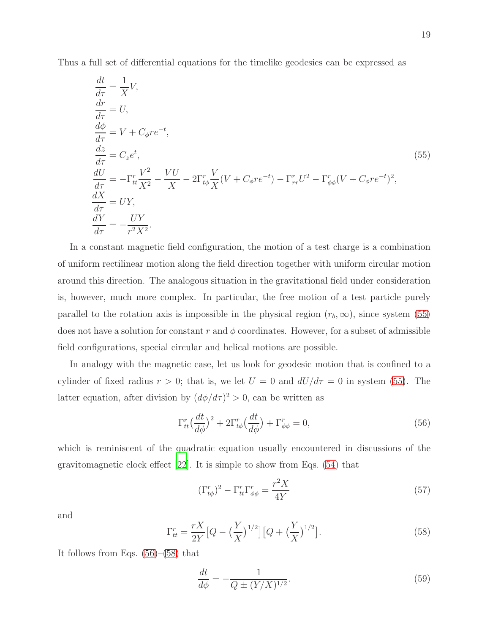Thus a full set of differential equations for the timelike geodesics can be expressed as

<span id="page-18-0"></span>
$$
\begin{aligned}\n\frac{dt}{d\tau} &= \frac{1}{X}V, \\
\frac{dr}{d\tau} &= U, \\
\frac{d\phi}{d\tau} &= V + C_{\phi}re^{-t}, \\
\frac{dz}{d\tau} &= C_{z}e^{t}, \\
\frac{dU}{d\tau} &= -\Gamma_{tt}^{r}\frac{V^{2}}{X^{2}} - \frac{VU}{X} - 2\Gamma_{t\phi}^{r}\frac{V}{X}(V + C_{\phi}re^{-t}) - \Gamma_{rr}^{r}U^{2} - \Gamma_{\phi\phi}^{r}(V + C_{\phi}re^{-t})^{2}, \\
\frac{dX}{d\tau} &= UY, \\
\frac{dY}{d\tau} &= -\frac{UY}{r^{2}X^{2}}.\n\end{aligned}
$$
\n(55)

In a constant magnetic field configuration, the motion of a test charge is a combination of uniform rectilinear motion along the field direction together with uniform circular motion around this direction. The analogous situation in the gravitational field under consideration is, however, much more complex. In particular, the free motion of a test particle purely parallel to the rotation axis is impossible in the physical region  $(r_b, \infty)$ , since system [\(55\)](#page-18-0) does not have a solution for constant r and  $\phi$  coordinates. However, for a subset of admissible field configurations, special circular and helical motions are possible.

In analogy with the magnetic case, let us look for geodesic motion that is confined to a cylinder of fixed radius  $r > 0$ ; that is, we let  $U = 0$  and  $dU/d\tau = 0$  in system [\(55\)](#page-18-0). The latter equation, after division by  $(d\phi/d\tau)^2 > 0$ , can be written as

<span id="page-18-1"></span>
$$
\Gamma_{tt}^r \left(\frac{dt}{d\phi}\right)^2 + 2\Gamma_{t\phi}^r \left(\frac{dt}{d\phi}\right) + \Gamma_{\phi\phi}^r = 0,\tag{56}
$$

which is reminiscent of the quadratic equation usually encountered in discussions of the gravitomagnetic clock effect [\[22](#page-47-3)]. It is simple to show from Eqs. [\(54\)](#page-17-1) that

$$
(\Gamma_{t\phi}^r)^2 - \Gamma_{tt}^r \Gamma_{\phi\phi}^r = \frac{r^2 X}{4Y} \tag{57}
$$

and

<span id="page-18-2"></span>
$$
\Gamma_{tt}^r = \frac{rX}{2Y} \left[ Q - \left(\frac{Y}{X}\right)^{1/2} \right] \left[ Q + \left(\frac{Y}{X}\right)^{1/2} \right]. \tag{58}
$$

It follows from Eqs.  $(56)$ – $(58)$  that

<span id="page-18-3"></span>
$$
\frac{dt}{d\phi} = -\frac{1}{Q \pm (Y/X)^{1/2}}.\tag{59}
$$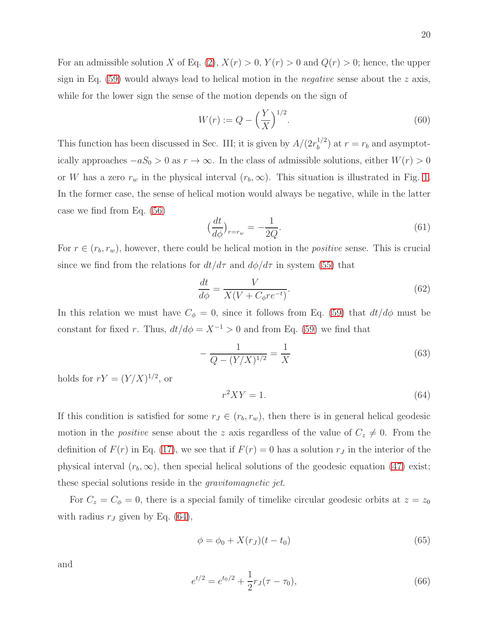20

For an admissible solution X of Eq. [\(2\)](#page-3-0),  $X(r) > 0$ ,  $Y(r) > 0$  and  $Q(r) > 0$ ; hence, the upper sign in Eq.  $(59)$  would always lead to helical motion in the *negative* sense about the z axis, while for the lower sign the sense of the motion depends on the sign of

$$
W(r) := Q - \left(\frac{Y}{X}\right)^{1/2}.
$$
\n(60)

This function has been discussed in Sec. III; it is given by  $A/(2r_h^{1/2})$  $\binom{1}{b}$  at  $r = r_b$  and asymptotically approaches  $-aS_0 > 0$  as  $r \to \infty$ . In the class of admissible solutions, either  $W(r) > 0$ or W has a zero  $r_w$  in the physical interval  $(r_b, \infty)$ . This situation is illustrated in Fig. [1.](#page-7-0) In the former case, the sense of helical motion would always be negative, while in the latter case we find from Eq. [\(56\)](#page-18-1)

$$
\left(\frac{dt}{d\phi}\right)_{r=r_w} = -\frac{1}{2Q}.\tag{61}
$$

For  $r \in (r_b, r_w)$ , however, there could be helical motion in the *positive* sense. This is crucial since we find from the relations for  $dt/d\tau$  and  $d\phi/d\tau$  in system [\(55\)](#page-18-0) that

$$
\frac{dt}{d\phi} = \frac{V}{X(V + C_{\phi}re^{-t})}.\tag{62}
$$

In this relation we must have  $C_{\phi} = 0$ , since it follows from Eq. [\(59\)](#page-18-3) that  $dt/d\phi$  must be constant for fixed r. Thus,  $dt/d\phi = X^{-1} > 0$  and from Eq. [\(59\)](#page-18-3) we find that

$$
-\frac{1}{Q - (Y/X)^{1/2}} = \frac{1}{X}
$$
\n(63)

holds for  $rY = (Y/X)^{1/2}$ , or

<span id="page-19-0"></span>
$$
r^2XY = 1.\t\t(64)
$$

If this condition is satisfied for some  $r_J \in (r_b, r_w)$ , then there is in general helical geodesic motion in the *positive* sense about the z axis regardless of the value of  $C_z \neq 0$ . From the definition of  $F(r)$  in Eq. [\(17\)](#page-8-1), we see that if  $F(r) = 0$  has a solution  $r<sub>J</sub>$  in the interior of the physical interval  $(r_b, \infty)$ , then special helical solutions of the geodesic equation [\(47\)](#page-16-2) exist; these special solutions reside in the gravitomagnetic jet.

For  $C_z = C_\phi = 0$ , there is a special family of timelike circular geodesic orbits at  $z = z_0$ with radius  $r_J$  given by Eq. [\(64\)](#page-19-0),

$$
\phi = \phi_0 + X(r_J)(t - t_0) \tag{65}
$$

and

$$
e^{t/2} = e^{t_0/2} + \frac{1}{2}r_J(\tau - \tau_0),\tag{66}
$$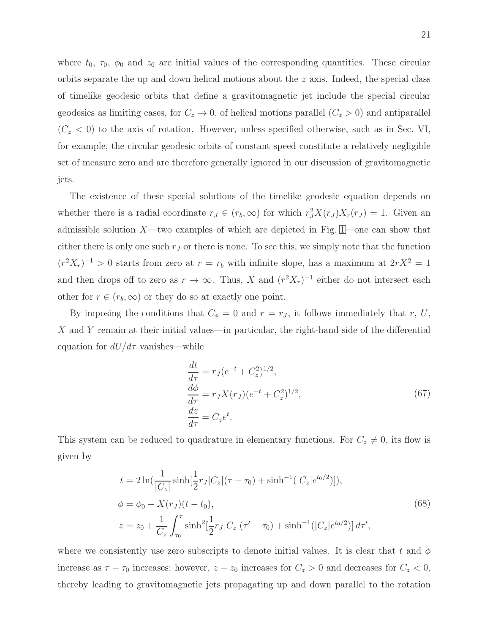where  $t_0$ ,  $\tau_0$ ,  $\phi_0$  and  $z_0$  are initial values of the corresponding quantities. These circular orbits separate the up and down helical motions about the z axis. Indeed, the special class of timelike geodesic orbits that define a gravitomagnetic jet include the special circular geodesics as limiting cases, for  $C_z \rightarrow 0$ , of helical motions parallel  $(C_z > 0)$  and antiparallel  $(C_z < 0)$  to the axis of rotation. However, unless specified otherwise, such as in Sec. VI, for example, the circular geodesic orbits of constant speed constitute a relatively negligible set of measure zero and are therefore generally ignored in our discussion of gravitomagnetic jets.

The existence of these special solutions of the timelike geodesic equation depends on whether there is a radial coordinate  $r_J \in (r_b, \infty)$  for which  $r_J^2 X(r_J) X_r(r_J) = 1$ . Given an admissible solution  $X$ —two examples of which are depicted in Fig. [1—](#page-7-0)one can show that either there is only one such  $r<sub>J</sub>$  or there is none. To see this, we simply note that the function  $(r^2X_r)^{-1} > 0$  starts from zero at  $r = r_b$  with infinite slope, has a maximum at  $2rX^2 = 1$ and then drops off to zero as  $r \to \infty$ . Thus, X and  $(r^2 X_r)^{-1}$  either do not intersect each other for  $r \in (r_b, \infty)$  or they do so at exactly one point.

By imposing the conditions that  $C_{\phi} = 0$  and  $r = r_J$ , it follows immediately that r, U, X and Y remain at their initial values—in particular, the right-hand side of the differential equation for  $dU/d\tau$  vanishes—while

<span id="page-20-0"></span>
$$
\begin{aligned}\n\frac{dt}{d\tau} &= r_J (e^{-t} + C_z^2)^{1/2},\\
\frac{d\phi}{d\tau} &= r_J X(r_J) (e^{-t} + C_z^2)^{1/2},\\
\frac{dz}{d\tau} &= C_z e^t.\n\end{aligned} \tag{67}
$$

This system can be reduced to quadrature in elementary functions. For  $C_z \neq 0$ , its flow is given by

$$
t = 2\ln\left(\frac{1}{|C_z|}\sinh\left[\frac{1}{2}r_J|C_z|(\tau - \tau_0) + \sinh^{-1}(|C_z|e^{t_0/2})\right]\right),
$$
  
\n
$$
\phi = \phi_0 + X(r_J)(t - t_0),
$$
  
\n
$$
z = z_0 + \frac{1}{C_z} \int_{\tau_0}^{\tau} \sinh^2\left[\frac{1}{2}r_J|C_z|(\tau' - \tau_0) + \sinh^{-1}(|C_z|e^{t_0/2})\right]d\tau',
$$
\n(68)

where we consistently use zero subscripts to denote initial values. It is clear that t and  $\phi$ increase as  $\tau - \tau_0$  increases; however,  $z - z_0$  increases for  $C_z > 0$  and decreases for  $C_z < 0$ , thereby leading to gravitomagnetic jets propagating up and down parallel to the rotation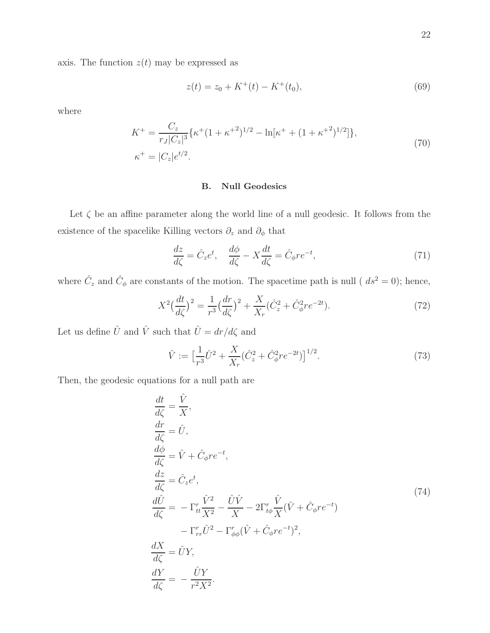axis. The function  $z(t)$  may be expressed as

$$
z(t) = z_0 + K^+(t) - K^+(t_0),\tag{69}
$$

where

$$
K^{+} = \frac{C_{z}}{r_{J}|C_{z}|^{3}} \{ \kappa^{+} (1 + \kappa^{+2})^{1/2} - \ln[\kappa^{+} + (1 + \kappa^{+2})^{1/2}] \},
$$
  
\n
$$
\kappa^{+} = |C_{z}|e^{t/2}.
$$
\n(70)

# B. Null Geodesics

Let  $\zeta$  be an affine parameter along the world line of a null geodesic. It follows from the existence of the spacelike Killing vectors  $\partial_z$  and  $\partial_\phi$  that

$$
\frac{dz}{d\zeta} = \hat{C}_z e^t, \quad \frac{d\phi}{d\zeta} - X \frac{dt}{d\zeta} = \hat{C}_\phi r e^{-t},\tag{71}
$$

where  $\hat{C}_z$  and  $\hat{C}_\phi$  are constants of the motion. The spacetime path is null (  $ds^2 = 0$ ); hence,

$$
X^{2} \left(\frac{dt}{d\zeta}\right)^{2} = \frac{1}{r^{3}} \left(\frac{dr}{d\zeta}\right)^{2} + \frac{X}{X_{r}} \left(\hat{C}_{z}^{2} + \hat{C}_{\phi}^{2} r e^{-2t}\right).
$$
 (72)

Let us define  $\hat{U}$  and  $\hat{V}$  such that  $\hat{U}=dr/d\zeta$  and

<span id="page-21-1"></span>
$$
\hat{V} := \left[\frac{1}{r^3}\hat{U}^2 + \frac{X}{X_r}(\hat{C}_z^2 + \hat{C}_\phi^2 r e^{-2t})\right]^{1/2}.\tag{73}
$$

<span id="page-21-0"></span>Then, the geodesic equations for a null path are

$$
\frac{dt}{d\zeta} = \frac{\hat{V}}{X},\n\frac{dr}{d\zeta} = \hat{V},\n\frac{d\phi}{d\zeta} = \hat{V} + \hat{C}_{\phi}re^{-t},\n\frac{dz}{d\zeta} = \hat{C}_{z}e^{t},\n\frac{d\hat{U}}{d\zeta} = -\Gamma_{tt}^{r}\frac{\hat{V}^{2}}{X^{2}} - \frac{\hat{U}\hat{V}}{X} - 2\Gamma_{t\phi}^{r}\frac{\hat{V}}{X}(\hat{V} + \hat{C}_{\phi}re^{-t})\n-\Gamma_{rr}^{r}\hat{U}^{2} - \Gamma_{\phi\phi}^{r}(\hat{V} + \hat{C}_{\phi}re^{-t})^{2},\n\frac{dX}{d\zeta} = \hat{U}Y,\n\frac{dY}{d\zeta} = -\frac{\hat{U}Y}{r^{2}X^{2}}.
$$
\n(74)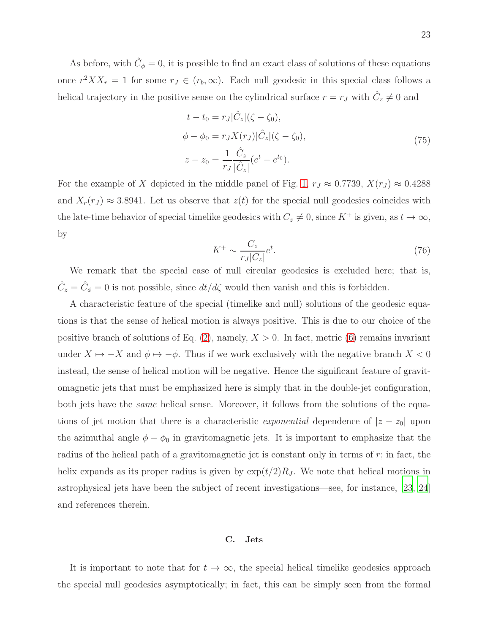As before, with  $\hat{C}_{\phi} = 0$ , it is possible to find an exact class of solutions of these equations once  $r^2 X X_r = 1$  for some  $r_J \in (r_b, \infty)$ . Each null geodesic in this special class follows a helical trajectory in the positive sense on the cylindrical surface  $r = r<sub>J</sub>$  with  $\hat{C}_z \neq 0$  and

$$
t - t_0 = r_J |\hat{C}_z| (\zeta - \zeta_0),
$$
  
\n
$$
\phi - \phi_0 = r_J X(r_J) |\hat{C}_z| (\zeta - \zeta_0),
$$
  
\n
$$
z - z_0 = \frac{1}{r_J} \frac{\hat{C}_z}{|\hat{C}_z|} (e^t - e^{t_0}).
$$
\n(75)

<span id="page-22-0"></span>For the example of X depicted in the middle panel of Fig. [1,](#page-7-0)  $r_J \approx 0.7739$ ,  $X(r_J) \approx 0.4288$ and  $X_r(r_j) \approx 3.8941$ . Let us observe that  $z(t)$  for the special null geodesics coincides with the late-time behavior of special timelike geodesics with  $C_z \neq 0$ , since  $K^+$  is given, as  $t \to \infty$ , by

$$
K^{+} \sim \frac{C_z}{r_J |C_z|} e^t. \tag{76}
$$

We remark that the special case of null circular geodesics is excluded here; that is,  $\hat{C}_z = \hat{C}_\phi = 0$  is not possible, since  $dt/d\zeta$  would then vanish and this is forbidden.

A characteristic feature of the special (timelike and null) solutions of the geodesic equations is that the sense of helical motion is always positive. This is due to our choice of the positive branch of solutions of Eq.  $(2)$ , namely,  $X > 0$ . In fact, metric  $(6)$  remains invariant under  $X \mapsto -X$  and  $\phi \mapsto -\phi$ . Thus if we work exclusively with the negative branch  $X < 0$ instead, the sense of helical motion will be negative. Hence the significant feature of gravitomagnetic jets that must be emphasized here is simply that in the double-jet configuration, both jets have the *same* helical sense. Moreover, it follows from the solutions of the equations of jet motion that there is a characteristic *exponential* dependence of  $|z - z_0|$  upon the azimuthal angle  $\phi - \phi_0$  in gravitomagnetic jets. It is important to emphasize that the radius of the helical path of a gravitomagnetic jet is constant only in terms of  $r$ ; in fact, the helix expands as its proper radius is given by  $\exp(t/2)R_J$ . We note that helical motions in astrophysical jets have been the subject of recent investigations—see, for instance, [\[23,](#page-47-4) [24\]](#page-47-5) and references therein.

#### C. Jets

It is important to note that for  $t \to \infty$ , the special helical timelike geodesics approach the special null geodesics asymptotically; in fact, this can be simply seen from the formal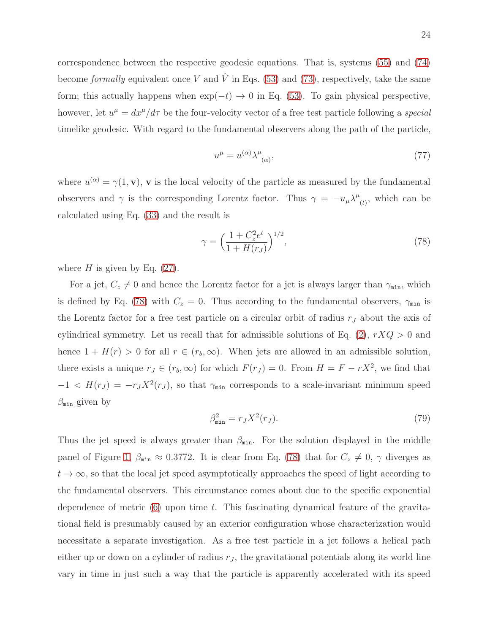correspondence between the respective geodesic equations. That is, systems [\(55\)](#page-18-0) and [\(74\)](#page-21-0) become formally equivalent once V and  $\hat{V}$  in Eqs. [\(53\)](#page-17-2) and [\(73\)](#page-21-1), respectively, take the same form; this actually happens when  $\exp(-t) \to 0$  in Eq. [\(53\)](#page-17-2). To gain physical perspective, however, let  $u^{\mu} = dx^{\mu}/d\tau$  be the four-velocity vector of a free test particle following a special timelike geodesic. With regard to the fundamental observers along the path of the particle,

$$
u^{\mu} = u^{(\alpha)} \lambda^{\mu}_{(\alpha)}, \tag{77}
$$

where  $u^{(\alpha)} = \gamma(1, \mathbf{v})$ , **v** is the local velocity of the particle as measured by the fundamental observers and  $\gamma$  is the corresponding Lorentz factor. Thus  $\gamma = -u_{\mu} \lambda^{\mu}$  $(t)$ , which can be calculated using Eq. [\(33\)](#page-14-2) and the result is

<span id="page-23-0"></span>
$$
\gamma = \left(\frac{1 + C_z^2 e^t}{1 + H(r_J)}\right)^{1/2},\tag{78}
$$

where  $H$  is given by Eq. [\(27\)](#page-12-0).

For a jet,  $C_z \neq 0$  and hence the Lorentz factor for a jet is always larger than  $\gamma_{\min}$ , which is defined by Eq. [\(78\)](#page-23-0) with  $C_z = 0$ . Thus according to the fundamental observers,  $\gamma_{\min}$  is the Lorentz factor for a free test particle on a circular orbit of radius  $r_J$  about the axis of cylindrical symmetry. Let us recall that for admissible solutions of Eq.  $(2)$ ,  $rXQ > 0$  and hence  $1 + H(r) > 0$  for all  $r \in (r_b, \infty)$ . When jets are allowed in an admissible solution, there exists a unique  $r_J \in (r_b, \infty)$  for which  $F(r_J) = 0$ . From  $H = F - rX^2$ , we find that  $-1 < H(r_J) = -r_J X^2(r_J)$ , so that  $\gamma_{\min}$  corresponds to a scale-invariant minimum speed  $\beta_{\min}$  given by

<span id="page-23-1"></span>
$$
\beta_{\min}^2 = r_J X^2(r_J). \tag{79}
$$

Thus the jet speed is always greater than  $\beta_{\min}$ . For the solution displayed in the middle panel of Figure [1,](#page-7-0)  $\beta_{\min} \approx 0.3772$ . It is clear from Eq. [\(78\)](#page-23-0) that for  $C_z \neq 0$ ,  $\gamma$  diverges as  $t \to \infty$ , so that the local jet speed asymptotically approaches the speed of light according to the fundamental observers. This circumstance comes about due to the specific exponential dependence of metric  $(6)$  upon time t. This fascinating dynamical feature of the gravitational field is presumably caused by an exterior configuration whose characterization would necessitate a separate investigation. As a free test particle in a jet follows a helical path either up or down on a cylinder of radius  $r<sub>J</sub>$ , the gravitational potentials along its world line vary in time in just such a way that the particle is apparently accelerated with its speed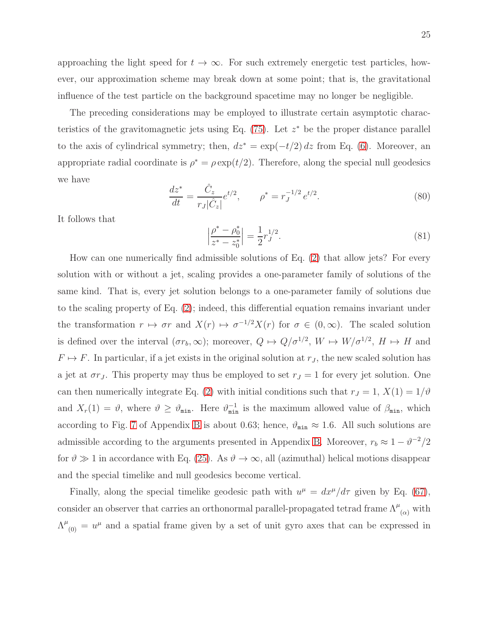approaching the light speed for  $t \to \infty$ . For such extremely energetic test particles, however, our approximation scheme may break down at some point; that is, the gravitational influence of the test particle on the background spacetime may no longer be negligible.

The preceding considerations may be employed to illustrate certain asymptotic characteristics of the gravitomagnetic jets using Eq.  $(75)$ . Let  $z^*$  be the proper distance parallel to the axis of cylindrical symmetry; then,  $dz^* = \exp(-t/2) dz$  from Eq. [\(6\)](#page-4-1). Moreover, an appropriate radial coordinate is  $\rho^* = \rho \exp(t/2)$ . Therefore, along the special null geodesics we have

$$
\frac{dz^*}{dt} = \frac{\hat{C}_z}{r_J|\hat{C}_z|}e^{t/2}, \qquad \rho^* = r_J^{-1/2}e^{t/2}.
$$
\n(80)

It follows that

$$
\left|\frac{\rho^* - \rho_0^*}{z^* - z_0^*}\right| = \frac{1}{2} r_J^{1/2}.
$$
\n(81)

How can one numerically find admissible solutions of Eq. [\(2\)](#page-3-0) that allow jets? For every solution with or without a jet, scaling provides a one-parameter family of solutions of the same kind. That is, every jet solution belongs to a one-parameter family of solutions due to the scaling property of Eq. [\(2\)](#page-3-0); indeed, this differential equation remains invariant under the transformation  $r \mapsto \sigma r$  and  $X(r) \mapsto \sigma^{-1/2} X(r)$  for  $\sigma \in (0,\infty)$ . The scaled solution is defined over the interval  $(\sigma r_b, \infty)$ ; moreover,  $Q \mapsto Q/\sigma^{1/2}$ ,  $W \mapsto W/\sigma^{1/2}$ ,  $H \mapsto H$  and  $F \mapsto F$ . In particular, if a jet exists in the original solution at  $r_J$ , the new scaled solution has a jet at  $\sigma r_J$ . This property may thus be employed to set  $r_J = 1$  for every jet solution. One can then numerically integrate Eq. [\(2\)](#page-3-0) with initial conditions such that  $r_J = 1$ ,  $X(1) = 1/\vartheta$ and  $X_r(1) = \vartheta$ , where  $\vartheta \geq \vartheta_{\min}$ . Here  $\vartheta_{\min}^{-1}$  is the maximum allowed value of  $\beta_{\min}$ , which according to Fig. [7](#page-35-0) of Appendix [B](#page-30-0) is about 0.63; hence,  $\vartheta_{\min} \approx 1.6$ . All such solutions are admissible according to the arguments presented in Appendix [B.](#page-30-0) Moreover,  $r_b \approx 1 - \theta^{-2}/2$ for  $\vartheta \gg 1$  in accordance with Eq. [\(25\)](#page-11-2). As  $\vartheta \to \infty$ , all (azimuthal) helical motions disappear and the special timelike and null geodesics become vertical.

Finally, along the special timelike geodesic path with  $u^{\mu} = dx^{\mu}/d\tau$  given by Eq. [\(67\)](#page-20-0), consider an observer that carries an orthonormal parallel-propagated tetrad frame  $\Lambda^{\mu}{}_{(\alpha)}$  with  $\Lambda^{\mu}_{(0)} = u^{\mu}$  and a spatial frame given by a set of unit gyro axes that can be expressed in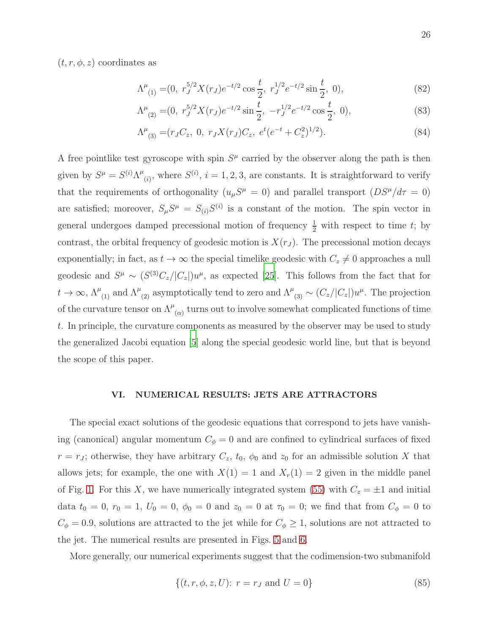$(t, r, \phi, z)$  coordinates as

$$
\Lambda^{\mu}_{(1)} = (0, r_J^{5/2} X(r_J) e^{-t/2} \cos \frac{t}{2}, r_J^{1/2} e^{-t/2} \sin \frac{t}{2}, 0), \tag{82}
$$

$$
\Lambda^{\mu}_{(2)} = (0, r_J^{5/2} X(r_J) e^{-t/2} \sin \frac{t}{2}, -r_J^{1/2} e^{-t/2} \cos \frac{t}{2}, 0), \tag{83}
$$

$$
\Lambda^{\mu}_{(3)} = (r_J C_z, 0, r_J X(r_J) C_z, e^t (e^{-t} + C_z^2)^{1/2}). \tag{84}
$$

A free pointlike test gyroscope with spin  $S<sup>\mu</sup>$  carried by the observer along the path is then given by  $S^{\mu} = S^{(i)} \Lambda^{\mu}$  $(i)$ , where  $S^{(i)}$ ,  $i = 1, 2, 3$ , are constants. It is straightforward to verify that the requirements of orthogonality  $(u_\mu S^\mu = 0)$  and parallel transport  $(DS^\mu/d\tau = 0)$ are satisfied; moreover,  $S_{\mu}S^{\mu} = S_{(i)}S^{(i)}$  is a constant of the motion. The spin vector in general undergoes damped precessional motion of frequency  $\frac{1}{2}$  with respect to time t; by contrast, the orbital frequency of geodesic motion is  $X(r_J)$ . The precessional motion decays exponentially; in fact, as  $t \to \infty$  the special timelike geodesic with  $C_z \neq 0$  approaches a null geodesic and  $S^{\mu} \sim (S^{(3)}C_z/|C_z|)u^{\mu}$ , as expected [\[25\]](#page-47-6). This follows from the fact that for  $t \to \infty$ ,  $\Lambda_{(1)}^{\mu}$  and  $\Lambda_{(2)}^{\mu}$  asymptotically tend to zero and  $\Lambda_{(3)}^{\mu} \sim (C_z/|C_z|)u^{\mu}$ . The projection of the curvature tensor on  $\Lambda^{\mu}{}_{(\alpha)}$  turns out to involve somewhat complicated functions of time t. In principle, the curvature components as measured by the observer may be used to study the generalized Jacobi equation [\[5](#page-46-13)] along the special geodesic world line, but that is beyond the scope of this paper.

## VI. NUMERICAL RESULTS: JETS ARE ATTRACTORS

The special exact solutions of the geodesic equations that correspond to jets have vanishing (canonical) angular momentum  $C_{\phi} = 0$  and are confined to cylindrical surfaces of fixed  $r = r_J$ ; otherwise, they have arbitrary  $C_z$ ,  $t_0$ ,  $\phi_0$  and  $z_0$  for an admissible solution X that allows jets; for example, the one with  $X(1) = 1$  and  $X_r(1) = 2$  given in the middle panel of Fig. [1.](#page-7-0) For this X, we have numerically integrated system [\(55\)](#page-18-0) with  $C_z = \pm 1$  and initial data  $t_0 = 0$ ,  $r_0 = 1$ ,  $U_0 = 0$ ,  $\phi_0 = 0$  and  $z_0 = 0$  at  $\tau_0 = 0$ ; we find that from  $C_\phi = 0$  to  $C_{\phi} = 0.9$ , solutions are attracted to the jet while for  $C_{\phi} \geq 1$ , solutions are not attracted to the jet. The numerical results are presented in Figs. [5](#page-26-0) and [6.](#page-27-0)

More generally, our numerical experiments suggest that the codimension-two submanifold

<span id="page-25-0"></span>
$$
\{(t, r, \phi, z, U): r = r_J \text{ and } U = 0\}
$$
\n(85)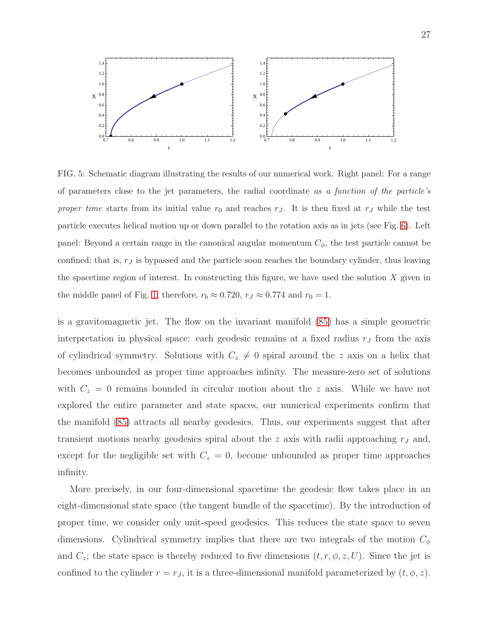

<span id="page-26-0"></span>FIG. 5: Schematic diagram illustrating the results of our numerical work. Right panel: For a range of parameters close to the jet parameters, the radial coordinate as a function of the particle's proper time starts from its initial value  $r_0$  and reaches  $r_J$ . It is then fixed at  $r_J$  while the test particle executes helical motion up or down parallel to the rotation axis as in jets (see Fig. [6\)](#page-27-0). Left panel: Beyond a certain range in the canonical angular momentum  $C_{\phi}$ , the test particle cannot be confined; that is,  $r<sub>J</sub>$  is bypassed and the particle soon reaches the boundary cylinder, thus leaving the spacetime region of interest. In constructing this figure, we have used the solution  $X$  given in the middle panel of Fig. [1;](#page-7-0) therefore,  $r_b \approx 0.720, \, r_J \approx 0.774$  and  $r_0 = 1.$ 

is a gravitomagnetic jet. The flow on the invariant manifold [\(85\)](#page-25-0) has a simple geometric interpretation in physical space: each geodesic remains at a fixed radius  $r<sub>J</sub>$  from the axis of cylindrical symmetry. Solutions with  $C_z \neq 0$  spiral around the z axis on a helix that becomes unbounded as proper time approaches infinity. The measure-zero set of solutions with  $C_z = 0$  remains bounded in circular motion about the z axis. While we have not explored the entire parameter and state spaces, our numerical experiments confirm that the manifold [\(85\)](#page-25-0) attracts all nearby geodesics. Thus, our experiments suggest that after transient motions nearby geodesics spiral about the  $z$  axis with radii approaching  $r<sub>J</sub>$  and, except for the negligible set with  $C_z = 0$ , become unbounded as proper time approaches infinity.

More precisely, in our four-dimensional spacetime the geodesic flow takes place in an eight-dimensional state space (the tangent bundle of the spacetime). By the introduction of proper time, we consider only unit-speed geodesics. This reduces the state space to seven dimensions. Cylindrical symmetry implies that there are two integrals of the motion  $C_{\phi}$ and  $C_z$ ; the state space is thereby reduced to five dimensions  $(t, r, \phi, z, U)$ . Since the jet is confined to the cylinder  $r = r_J$ , it is a three-dimensional manifold parameterized by  $(t, \phi, z)$ .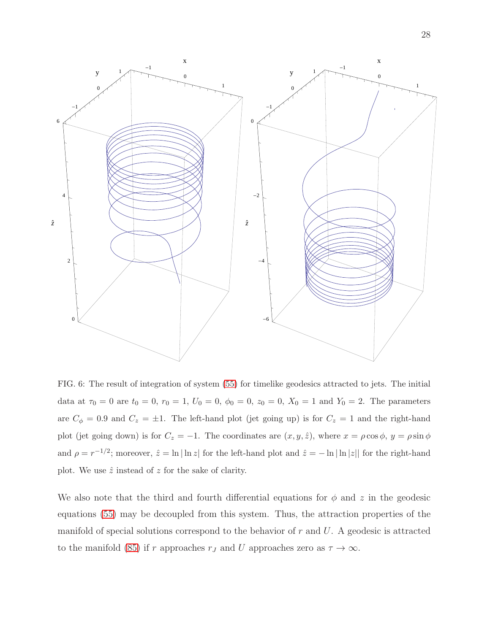

<span id="page-27-0"></span>FIG. 6: The result of integration of system [\(55\)](#page-18-0) for timelike geodesics attracted to jets. The initial data at  $\tau_0 = 0$  are  $t_0 = 0$ ,  $r_0 = 1$ ,  $U_0 = 0$ ,  $\phi_0 = 0$ ,  $z_0 = 0$ ,  $X_0 = 1$  and  $Y_0 = 2$ . The parameters are  $C_{\phi} = 0.9$  and  $C_{z} = \pm 1$ . The left-hand plot (jet going up) is for  $C_{z} = 1$  and the right-hand plot (jet going down) is for  $C_z = -1$ . The coordinates are  $(x, y, \hat{z})$ , where  $x = \rho \cos \phi$ ,  $y = \rho \sin \phi$ and  $\rho = r^{-1/2}$ ; moreover,  $\hat{z} = \ln |\ln z|$  for the left-hand plot and  $\hat{z} = -\ln |\ln |z|$  for the right-hand plot. We use  $\hat{z}$  instead of z for the sake of clarity.

We also note that the third and fourth differential equations for  $\phi$  and  $z$  in the geodesic equations [\(55\)](#page-18-0) may be decoupled from this system. Thus, the attraction properties of the manifold of special solutions correspond to the behavior of  $r$  and  $U$ . A geodesic is attracted to the manifold [\(85\)](#page-25-0) if r approaches  $r_J$  and U approaches zero as  $\tau \to \infty$ .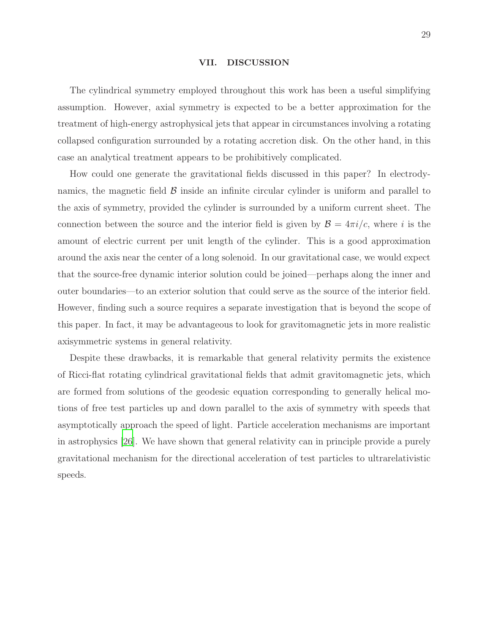#### VII. DISCUSSION

The cylindrical symmetry employed throughout this work has been a useful simplifying assumption. However, axial symmetry is expected to be a better approximation for the treatment of high-energy astrophysical jets that appear in circumstances involving a rotating collapsed configuration surrounded by a rotating accretion disk. On the other hand, in this case an analytical treatment appears to be prohibitively complicated.

How could one generate the gravitational fields discussed in this paper? In electrodynamics, the magnetic field  $\beta$  inside an infinite circular cylinder is uniform and parallel to the axis of symmetry, provided the cylinder is surrounded by a uniform current sheet. The connection between the source and the interior field is given by  $\mathcal{B} = 4\pi i/c$ , where i is the amount of electric current per unit length of the cylinder. This is a good approximation around the axis near the center of a long solenoid. In our gravitational case, we would expect that the source-free dynamic interior solution could be joined—perhaps along the inner and outer boundaries—to an exterior solution that could serve as the source of the interior field. However, finding such a source requires a separate investigation that is beyond the scope of this paper. In fact, it may be advantageous to look for gravitomagnetic jets in more realistic axisymmetric systems in general relativity.

Despite these drawbacks, it is remarkable that general relativity permits the existence of Ricci-flat rotating cylindrical gravitational fields that admit gravitomagnetic jets, which are formed from solutions of the geodesic equation corresponding to generally helical motions of free test particles up and down parallel to the axis of symmetry with speeds that asymptotically approach the speed of light. Particle acceleration mechanisms are important in astrophysics [\[26\]](#page-47-7). We have shown that general relativity can in principle provide a purely gravitational mechanism for the directional acceleration of test particles to ultrarelativistic speeds.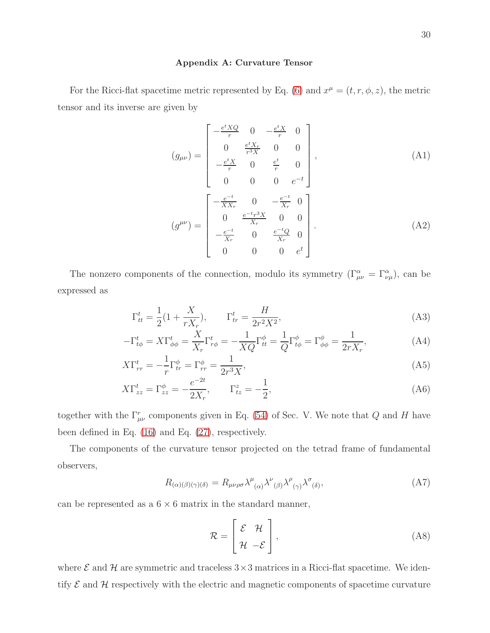#### <span id="page-29-0"></span>Appendix A: Curvature Tensor

For the Ricci-flat spacetime metric represented by Eq. [\(6\)](#page-4-1) and  $x^{\mu} = (t, r, \phi, z)$ , the metric tensor and its inverse are given by

<span id="page-29-1"></span>
$$
(g_{\mu\nu}) = \begin{bmatrix} -\frac{e^t X Q}{r} & 0 & -\frac{e^t X}{r} & 0\\ 0 & \frac{e^t X_r}{r^3 X} & 0 & 0\\ -\frac{e^t X}{r} & 0 & \frac{e^t}{r} & 0\\ 0 & 0 & 0 & e^{-t} \end{bmatrix},
$$
\n
$$
(g^{\mu\nu}) = \begin{bmatrix} -\frac{e^{-t}}{X X_r} & 0 & -\frac{e^{-t}}{X_r} & 0\\ 0 & \frac{e^{-t} r^3 X}{X_r} & 0 & 0\\ -\frac{e^{-t}}{X_r} & 0 & \frac{e^{-t} Q}{X_r} & 0\\ 0 & 0 & 0 & e^t \end{bmatrix}.
$$
\n(A2)

The nonzero components of the connection, modulo its symmetry  $(\Gamma^{\alpha}_{\mu\nu} = \Gamma^{\alpha}_{\nu\mu})$ , can be expressed as

$$
\Gamma_{tt}^t = \frac{1}{2} (1 + \frac{X}{rX_r}), \qquad \Gamma_{tr}^t = \frac{H}{2r^2 X^2}, \tag{A3}
$$

$$
-\Gamma_{t\phi}^t = X\Gamma_{\phi\phi}^t = \frac{X}{X_r}\Gamma_{r\phi}^t = -\frac{1}{XQ}\Gamma_{tt}^{\phi} = \frac{1}{Q}\Gamma_{t\phi}^{\phi} = \Gamma_{\phi\phi}^{\phi} = \frac{1}{2rX_r},\tag{A4}
$$

$$
X\Gamma_{rr}^t = -\frac{1}{r}\Gamma_{tr}^\phi = \Gamma_{rr}^\phi = \frac{1}{2r^3X},\tag{A5}
$$

$$
X\Gamma_{zz}^{t} = \Gamma_{zz}^{\phi} = -\frac{e^{-2t}}{2X_r}, \qquad \Gamma_{tz}^{z} = -\frac{1}{2},
$$
\n(A6)

together with the  $\Gamma^r_{\mu\nu}$  components given in Eq. [\(54\)](#page-17-1) of Sec. V. We note that Q and H have been defined in Eq. [\(16\)](#page-6-3) and Eq. [\(27\)](#page-12-0), respectively.

The components of the curvature tensor projected on the tetrad frame of fundamental observers,

$$
R_{(\alpha)(\beta)(\gamma)(\delta)} = R_{\mu\nu\rho\sigma} \lambda^{\mu}{}_{(\alpha)} \lambda^{\nu}{}_{(\beta)} \lambda^{\rho}{}_{(\gamma)} \lambda^{\sigma}{}_{(\delta)}, \tag{A7}
$$

can be represented as a  $6 \times 6$  matrix in the standard manner,

$$
\mathcal{R} = \begin{bmatrix} \mathcal{E} & \mathcal{H} \\ \mathcal{H} & -\mathcal{E} \end{bmatrix},\tag{A8}
$$

where  $\mathcal E$  and  $\mathcal H$  are symmetric and traceless  $3\times 3$  matrices in a Ricci-flat spacetime. We identify  $\mathcal E$  and  $\mathcal H$  respectively with the electric and magnetic components of spacetime curvature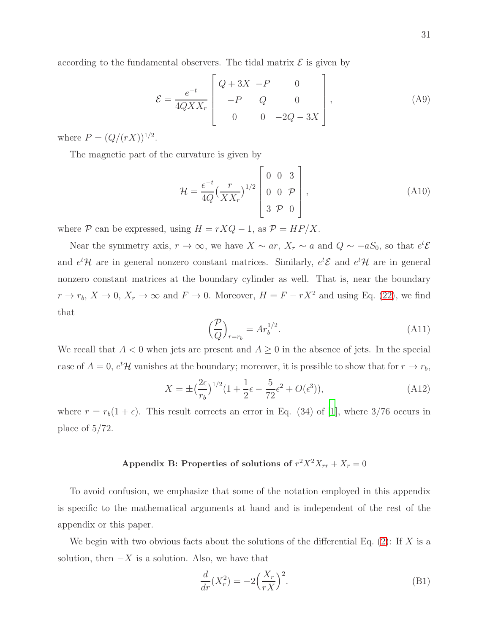according to the fundamental observers. The tidal matrix  $\mathcal E$  is given by

$$
\mathcal{E} = \frac{e^{-t}}{4QXX_r} \begin{bmatrix} Q + 3X & -P & 0 \\ -P & Q & 0 \\ 0 & 0 & -2Q - 3X \end{bmatrix},
$$
 (A9)

where  $P = (Q/(rX))^{1/2}$ .

The magnetic part of the curvature is given by

$$
\mathcal{H} = \frac{e^{-t}}{4Q} \left(\frac{r}{XX_r}\right)^{1/2} \begin{bmatrix} 0 & 0 & 3\\ 0 & 0 & \mathcal{P} \\ 3 & \mathcal{P} & 0 \end{bmatrix},
$$
(A10)

where  $P$  can be expressed, using  $H = rXQ - 1$ , as  $P = HP/X$ .

Near the symmetry axis,  $r \to \infty$ , we have  $X \sim ar$ ,  $X_r \sim a$  and  $Q \sim -aS_0$ , so that  $e^t \mathcal{E}$ and  $e^t$ H are in general nonzero constant matrices. Similarly,  $e^t$ E and  $e^t$ H are in general nonzero constant matrices at the boundary cylinder as well. That is, near the boundary  $r \to r_b$ ,  $X \to 0$ ,  $X_r \to \infty$  and  $F \to 0$ . Moreover,  $H = F - rX^2$  and using Eq. [\(22\)](#page-11-0), we find that

$$
\left(\frac{\mathcal{P}}{Q}\right)_{r=r_b} = Ar_b^{1/2}.\tag{A11}
$$

We recall that  $A < 0$  when jets are present and  $A \geq 0$  in the absence of jets. In the special case of  $A = 0$ ,  $e^t$ H vanishes at the boundary; moreover, it is possible to show that for  $r \to r_b$ ,

<span id="page-30-1"></span>
$$
X = \pm \left(\frac{2\epsilon}{r_b}\right)^{1/2} (1 + \frac{1}{2}\epsilon - \frac{5}{72}\epsilon^2 + O(\epsilon^3)),\tag{A12}
$$

where  $r = r_b(1 + \epsilon)$ . This result corrects an error in Eq. (34) of [\[1\]](#page-46-0), where 3/76 occurs in place of 5/72.

# <span id="page-30-0"></span>Appendix B: Properties of solutions of  $r^2 X^2 X_{rr} + X_r = 0$

To avoid confusion, we emphasize that some of the notation employed in this appendix is specific to the mathematical arguments at hand and is independent of the rest of the appendix or this paper.

We begin with two obvious facts about the solutions of the differential Eq. [\(2\)](#page-3-0): If X is a solution, then  $-X$  is a solution. Also, we have that

<span id="page-30-2"></span>
$$
\frac{d}{dr}(X_r^2) = -2\left(\frac{X_r}{rX}\right)^2.
$$
\n(B1)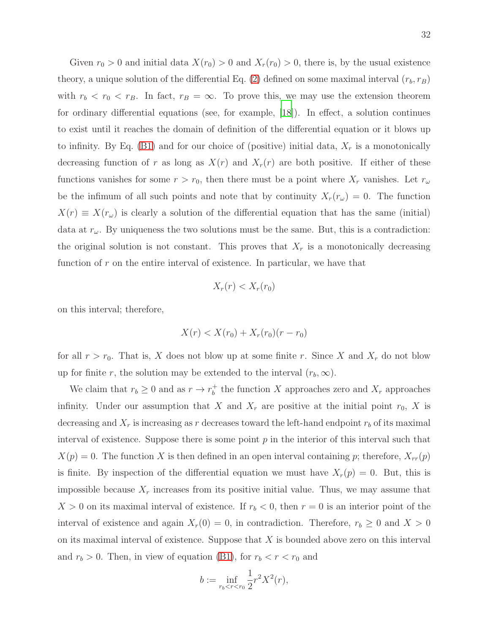Given  $r_0 > 0$  and initial data  $X(r_0) > 0$  and  $X_r(r_0) > 0$ , there is, by the usual existence theory, a unique solution of the differential Eq. [\(2\)](#page-3-0) defined on some maximal interval  $(r_b, r_B)$ with  $r_b < r_0 < r_B$ . In fact,  $r_B = \infty$ . To prove this, we may use the extension theorem for ordinary differential equations (see, for example, [\[18](#page-46-12)]). In effect, a solution continues to exist until it reaches the domain of definition of the differential equation or it blows up to infinity. By Eq.  $(B1)$  and for our choice of (positive) initial data,  $X<sub>r</sub>$  is a monotonically decreasing function of r as long as  $X(r)$  and  $X_r(r)$  are both positive. If either of these functions vanishes for some  $r > r_0$ , then there must be a point where  $X_r$  vanishes. Let  $r_\omega$ be the infimum of all such points and note that by continuity  $X_r(r_\omega) = 0$ . The function  $X(r) \equiv X(r_{\omega})$  is clearly a solution of the differential equation that has the same (initial) data at  $r_{\omega}$ . By uniqueness the two solutions must be the same. But, this is a contradiction: the original solution is not constant. This proves that  $X_r$  is a monotonically decreasing function of  $r$  on the entire interval of existence. In particular, we have that

$$
X_r(r) < X_r(r_0)
$$

on this interval; therefore,

$$
X(r) < X(r_0) + X_r(r_0)(r - r_0)
$$

for all  $r > r_0$ . That is, X does not blow up at some finite r. Since X and  $X_r$  do not blow up for finite r, the solution may be extended to the interval  $(r_b, \infty)$ .

We claim that  $r_b \geq 0$  and as  $r \to r_b^+$ <sup> $+$ </sup> the function X approaches zero and  $X_r$  approaches infinity. Under our assumption that X and  $X_r$  are positive at the initial point  $r_0$ , X is decreasing and  $X_r$  is increasing as r decreases toward the left-hand endpoint  $r_b$  of its maximal interval of existence. Suppose there is some point  $p$  in the interior of this interval such that  $X(p) = 0$ . The function X is then defined in an open interval containing p; therefore,  $X_{rr}(p)$ is finite. By inspection of the differential equation we must have  $X_r(p) = 0$ . But, this is impossible because  $X_r$  increases from its positive initial value. Thus, we may assume that  $X > 0$  on its maximal interval of existence. If  $r_b < 0$ , then  $r = 0$  is an interior point of the interval of existence and again  $X_r(0) = 0$ , in contradiction. Therefore,  $r_b \geq 0$  and  $X > 0$ on its maximal interval of existence. Suppose that X is bounded above zero on this interval and  $r_b > 0$ . Then, in view of equation [\(B1\)](#page-30-2), for  $r_b < r < r_0$  and

$$
b := \inf_{r_b < r < r_0} \frac{1}{2} r^2 X^2(r),
$$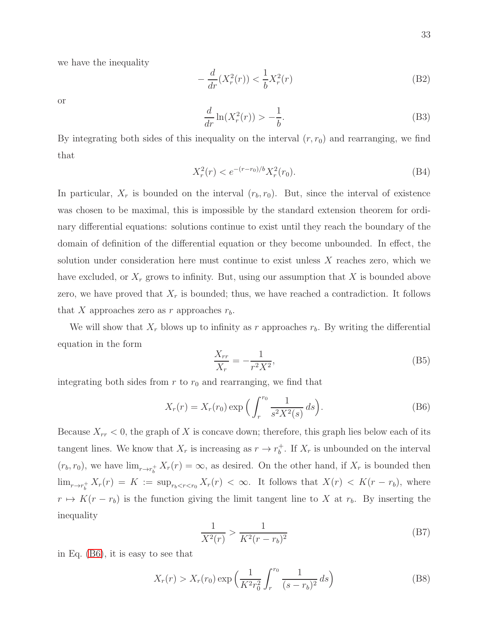we have the inequality

$$
-\frac{d}{dr}(X_r^2(r)) < \frac{1}{b}X_r^2(r) \tag{B2}
$$

or

$$
\frac{d}{dr}\ln(X_r^2(r)) > -\frac{1}{b}.\tag{B3}
$$

By integrating both sides of this inequality on the interval  $(r, r_0)$  and rearranging, we find that

$$
X_r^2(r) < e^{-(r-r_0)/b} X_r^2(r_0). \tag{B4}
$$

In particular,  $X_r$  is bounded on the interval  $(r_b, r_0)$ . But, since the interval of existence was chosen to be maximal, this is impossible by the standard extension theorem for ordinary differential equations: solutions continue to exist until they reach the boundary of the domain of definition of the differential equation or they become unbounded. In effect, the solution under consideration here must continue to exist unless  $X$  reaches zero, which we have excluded, or  $X_r$  grows to infinity. But, using our assumption that X is bounded above zero, we have proved that  $X_r$  is bounded; thus, we have reached a contradiction. It follows that X approaches zero as r approaches  $r_b$ .

We will show that  $X_r$  blows up to infinity as r approaches  $r_b$ . By writing the differential equation in the form

$$
\frac{X_{rr}}{X_r} = -\frac{1}{r^2 X^2},
$$
\n(B5)

integrating both sides from  $r$  to  $r_0$  and rearranging, we find that

<span id="page-32-0"></span>
$$
X_r(r) = X_r(r_0) \exp\left(\int_r^{r_0} \frac{1}{s^2 X^2(s)} ds\right).
$$
 (B6)

Because  $X_{rr}$  < 0, the graph of X is concave down; therefore, this graph lies below each of its tangent lines. We know that  $X_r$  is increasing as  $r \to r_b^+$  $_{b}^{+}$ . If  $X_{r}$  is unbounded on the interval  $(r_b, r_0)$ , we have  $\lim_{r \to r_b^+} X_r(r) = \infty$ , as desired. On the other hand, if  $X_r$  is bounded then  $\lim_{r \to r_b^+} X_r(r) = K := \sup_{r_b < r < r_0} X_r(r) < \infty$ . It follows that  $X(r) < K(r - r_b)$ , where  $r \mapsto K(r - r_b)$  is the function giving the limit tangent line to X at  $r_b$ . By inserting the inequality

$$
\frac{1}{X^2(r)} > \frac{1}{K^2(r - r_b)^2}
$$
 (B7)

in Eq. [\(B6\)](#page-32-0), it is easy to see that

$$
X_r(r) > X_r(r_0) \exp\left(\frac{1}{K^2 r_0^2} \int_r^{r_0} \frac{1}{(s - r_b)^2} ds\right)
$$
 (B8)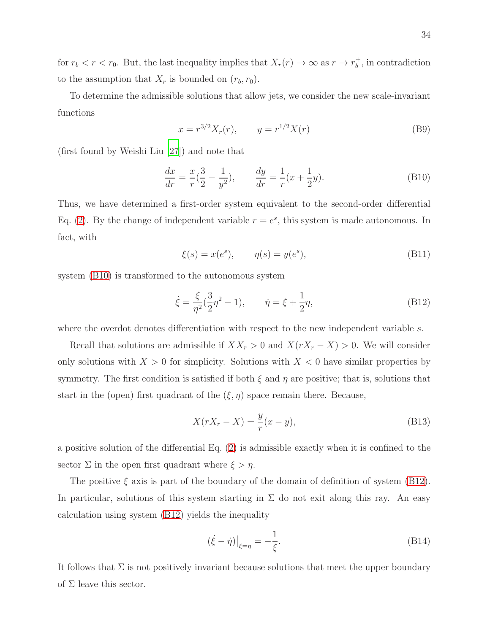for  $r_b < r < r_0$ . But, the last inequality implies that  $X_r(r) \to \infty$  as  $r \to r_b^+$  $\phi_b^+$ , in contradiction to the assumption that  $X_r$  is bounded on  $(r_b, r_0)$ .

To determine the admissible solutions that allow jets, we consider the new scale-invariant functions

$$
x = r^{3/2} X_r(r), \qquad y = r^{1/2} X(r) \tag{B9}
$$

(first found by Weishi Liu [\[27\]](#page-47-8)) and note that

<span id="page-33-0"></span>
$$
\frac{dx}{dr} = \frac{x}{r}(\frac{3}{2} - \frac{1}{y^2}), \qquad \frac{dy}{dr} = \frac{1}{r}(x + \frac{1}{2}y).
$$
 (B10)

Thus, we have determined a first-order system equivalent to the second-order differential Eq. [\(2\)](#page-3-0). By the change of independent variable  $r = e^s$ , this system is made autonomous. In fact, with

$$
\xi(s) = x(e^s), \qquad \eta(s) = y(e^s), \tag{B11}
$$

system [\(B10\)](#page-33-0) is transformed to the autonomous system

<span id="page-33-1"></span>
$$
\dot{\xi} = \frac{\xi}{\eta^2} (\frac{3}{2}\eta^2 - 1), \qquad \dot{\eta} = \xi + \frac{1}{2}\eta,
$$
 (B12)

where the overdot denotes differentiation with respect to the new independent variable s.

Recall that solutions are admissible if  $XX_r > 0$  and  $X(rX_r - X) > 0$ . We will consider only solutions with  $X > 0$  for simplicity. Solutions with  $X < 0$  have similar properties by symmetry. The first condition is satisfied if both  $\xi$  and  $\eta$  are positive; that is, solutions that start in the (open) first quadrant of the  $(\xi, \eta)$  space remain there. Because,

$$
X(rX_r - X) = \frac{y}{r}(x - y),
$$
\n(B13)

a positive solution of the differential Eq. [\(2\)](#page-3-0) is admissible exactly when it is confined to the sector  $\Sigma$  in the open first quadrant where  $\xi > \eta$ .

The positive  $\xi$  axis is part of the boundary of the domain of definition of system [\(B12\)](#page-33-1). In particular, solutions of this system starting in  $\Sigma$  do not exit along this ray. An easy calculation using system [\(B12\)](#page-33-1) yields the inequality

$$
(\dot{\xi} - \dot{\eta})\Big|_{\xi = \eta} = -\frac{1}{\xi}.\tag{B14}
$$

It follows that  $\Sigma$  is not positively invariant because solutions that meet the upper boundary of  $\Sigma$  leave this sector.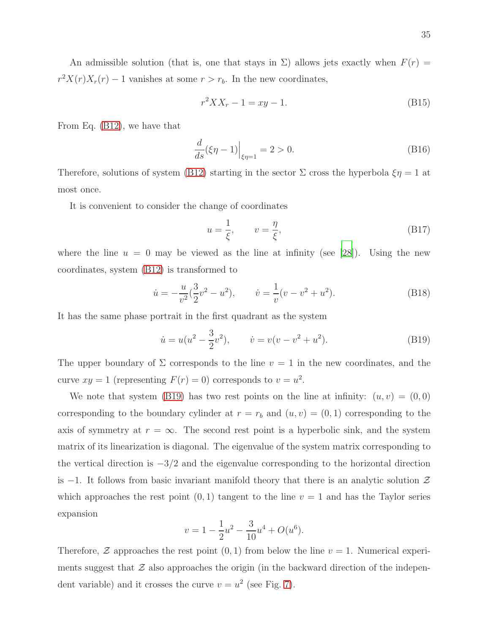An admissible solution (that is, one that stays in  $\Sigma$ ) allows jets exactly when  $F(r)$  =  $r^2X(r)X_r(r) - 1$  vanishes at some  $r > r_b$ . In the new coordinates,

$$
r^2 X X_r - 1 = xy - 1.
$$
 (B15)

From Eq. [\(B12\)](#page-33-1), we have that

$$
\frac{d}{ds}(\xi \eta - 1)\Big|_{\xi \eta = 1} = 2 > 0.
$$
\n(B16)

Therefore, solutions of system [\(B12\)](#page-33-1) starting in the sector  $\Sigma$  cross the hyperbola  $\xi \eta = 1$  at most once.

It is convenient to consider the change of coordinates

$$
u = \frac{1}{\xi}, \qquad v = \frac{\eta}{\xi}, \tag{B17}
$$

where the line  $u = 0$  may be viewed as the line at infinity (see [\[28\]](#page-47-9)). Using the new coordinates, system [\(B12\)](#page-33-1) is transformed to

$$
\dot{u} = -\frac{u}{v^2}(\frac{3}{2}v^2 - u^2), \qquad \dot{v} = \frac{1}{v}(v - v^2 + u^2). \tag{B18}
$$

It has the same phase portrait in the first quadrant as the system

<span id="page-34-0"></span>
$$
\dot{u} = u(u^2 - \frac{3}{2}v^2), \qquad \dot{v} = v(v - v^2 + u^2). \tag{B19}
$$

The upper boundary of  $\Sigma$  corresponds to the line  $v = 1$  in the new coordinates, and the curve  $xy = 1$  (representing  $F(r) = 0$ ) corresponds to  $v = u^2$ .

We note that system [\(B19\)](#page-34-0) has two rest points on the line at infinity:  $(u, v) = (0, 0)$ corresponding to the boundary cylinder at  $r = r_b$  and  $(u, v) = (0, 1)$  corresponding to the axis of symmetry at  $r = \infty$ . The second rest point is a hyperbolic sink, and the system matrix of its linearization is diagonal. The eigenvalue of the system matrix corresponding to the vertical direction is  $-3/2$  and the eigenvalue corresponding to the horizontal direction is  $-1$ . It follows from basic invariant manifold theory that there is an analytic solution  $\mathcal Z$ which approaches the rest point  $(0, 1)$  tangent to the line  $v = 1$  and has the Taylor series expansion

$$
v = 1 - \frac{1}{2}u^2 - \frac{3}{10}u^4 + O(u^6).
$$

Therefore,  $\mathcal Z$  approaches the rest point  $(0,1)$  from below the line  $v=1$ . Numerical experiments suggest that  $\mathcal Z$  also approaches the origin (in the backward direction of the independent variable) and it crosses the curve  $v = u^2$  (see Fig. [7\)](#page-35-0).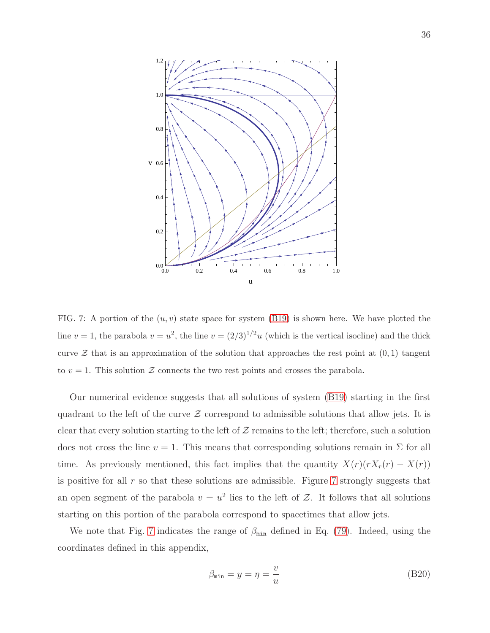

<span id="page-35-0"></span>FIG. 7: A portion of the  $(u, v)$  state space for system [\(B19\)](#page-34-0) is shown here. We have plotted the line  $v = 1$ , the parabola  $v = u^2$ , the line  $v = (2/3)^{1/2}u$  (which is the vertical isocline) and the thick curve  $\mathcal Z$  that is an approximation of the solution that approaches the rest point at  $(0, 1)$  tangent to  $v = 1$ . This solution  $\mathcal Z$  connects the two rest points and crosses the parabola.

Our numerical evidence suggests that all solutions of system [\(B19\)](#page-34-0) starting in the first quadrant to the left of the curve  $\mathcal Z$  correspond to admissible solutions that allow jets. It is clear that every solution starting to the left of  $Z$  remains to the left; therefore, such a solution does not cross the line  $v = 1$ . This means that corresponding solutions remain in  $\Sigma$  for all time. As previously mentioned, this fact implies that the quantity  $X(r)(rX_r(r) - X(r))$ is positive for all  $r$  so that these solutions are admissible. Figure  $7$  strongly suggests that an open segment of the parabola  $v = u^2$  lies to the left of Z. It follows that all solutions starting on this portion of the parabola correspond to spacetimes that allow jets.

We note that Fig. [7](#page-35-0) indicates the range of  $\beta_{\min}$  defined in Eq. [\(79\)](#page-23-1). Indeed, using the coordinates defined in this appendix,

$$
\beta_{\min} = y = \eta = \frac{v}{u} \tag{B20}
$$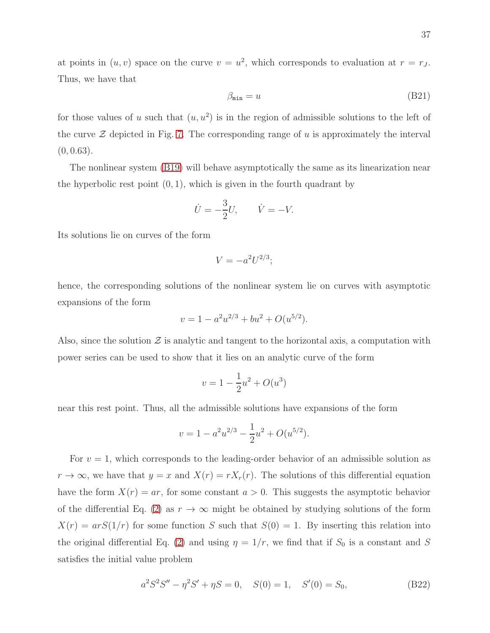at points in  $(u, v)$  space on the curve  $v = u^2$ , which corresponds to evaluation at  $r = r_J$ . Thus, we have that

$$
\beta_{\min} = u \tag{B21}
$$

for those values of u such that  $(u, u^2)$  is in the region of admissible solutions to the left of the curve  $\mathcal Z$  depicted in Fig. [7.](#page-35-0) The corresponding range of u is approximately the interval  $(0, 0.63)$ .

The nonlinear system [\(B19\)](#page-34-0) will behave asymptotically the same as its linearization near the hyperbolic rest point  $(0, 1)$ , which is given in the fourth quadrant by

$$
\dot{U} = -\frac{3}{2}U, \qquad \dot{V} = -V.
$$

Its solutions lie on curves of the form

$$
V = -a^2 U^{2/3};
$$

hence, the corresponding solutions of the nonlinear system lie on curves with asymptotic expansions of the form

$$
v = 1 - a^2 u^{2/3} + b u^2 + O(u^{5/2}).
$$

Also, since the solution  $\mathcal Z$  is analytic and tangent to the horizontal axis, a computation with power series can be used to show that it lies on an analytic curve of the form

$$
v = 1 - \frac{1}{2}u^2 + O(u^3)
$$

near this rest point. Thus, all the admissible solutions have expansions of the form

$$
v = 1 - a^2 u^{2/3} - \frac{1}{2} u^2 + O(u^{5/2}).
$$

For  $v = 1$ , which corresponds to the leading-order behavior of an admissible solution as  $r \to \infty$ , we have that  $y = x$  and  $X(r) = rX_r(r)$ . The solutions of this differential equation have the form  $X(r) = ar$ , for some constant  $a > 0$ . This suggests the asymptotic behavior of the differential Eq. [\(2\)](#page-3-0) as  $r \to \infty$  might be obtained by studying solutions of the form  $X(r) = arS(1/r)$  for some function S such that  $S(0) = 1$ . By inserting this relation into the original differential Eq. [\(2\)](#page-3-0) and using  $\eta = 1/r$ , we find that if  $S_0$  is a constant and S satisfies the initial value problem

$$
a2S2S'' - \eta2S' + \eta S = 0, \quad S(0) = 1, \quad S'(0) = S_0,
$$
 (B22)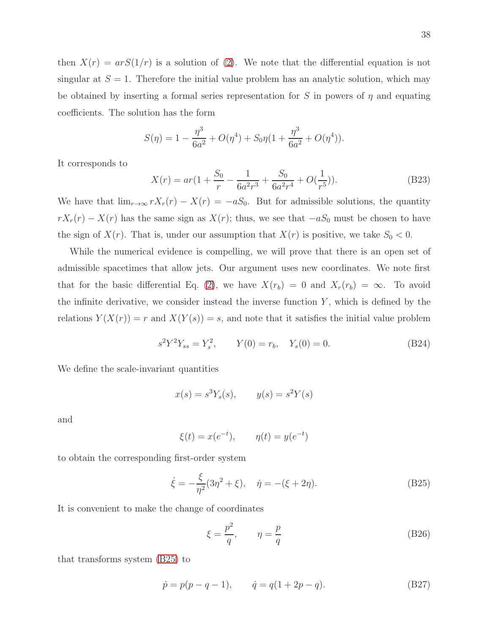then  $X(r) = arS(1/r)$  is a solution of [\(2\)](#page-3-0). We note that the differential equation is not singular at  $S = 1$ . Therefore the initial value problem has an analytic solution, which may be obtained by inserting a formal series representation for S in powers of  $\eta$  and equating coefficients. The solution has the form

$$
S(\eta) = 1 - \frac{\eta^3}{6a^2} + O(\eta^4) + S_0 \eta (1 + \frac{\eta^3}{6a^2} + O(\eta^4)).
$$

It corresponds to

$$
X(r) = ar\left(1 + \frac{S_0}{r} - \frac{1}{6a^2r^3} + \frac{S_0}{6a^2r^4} + O(\frac{1}{r^5})\right).
$$
 (B23)

We have that  $\lim_{r\to\infty} rX_r(r) - X(r) = -aS_0$ . But for admissible solutions, the quantity  $rX_r(r) - X(r)$  has the same sign as  $X(r)$ ; thus, we see that  $-aS_0$  must be chosen to have the sign of  $X(r)$ . That is, under our assumption that  $X(r)$  is positive, we take  $S_0 < 0$ .

While the numerical evidence is compelling, we will prove that there is an open set of admissible spacetimes that allow jets. Our argument uses new coordinates. We note first that for the basic differential Eq. [\(2\)](#page-3-0), we have  $X(r_b) = 0$  and  $X_r(r_b) = \infty$ . To avoid the infinite derivative, we consider instead the inverse function  $Y$ , which is defined by the relations  $Y(X(r)) = r$  and  $X(Y(s)) = s$ , and note that it satisfies the initial value problem

<span id="page-37-2"></span>
$$
s^{2}Y^{2}Y_{ss} = Y_{s}^{2}, \t Y(0) = r_{b}, \t Y_{s}(0) = 0.
$$
 (B24)

We define the scale-invariant quantities

$$
x(s) = s3 Ys(s), \qquad y(s) = s2 Y(s)
$$

and

$$
\xi(t) = x(e^{-t}), \qquad \eta(t) = y(e^{-t})
$$

to obtain the corresponding first-order system

<span id="page-37-1"></span>
$$
\dot{\xi} = -\frac{\xi}{\eta^2} (3\eta^2 + \xi), \quad \dot{\eta} = -(\xi + 2\eta). \tag{B25}
$$

It is convenient to make the change of coordinates

$$
\xi = \frac{p^2}{q}, \qquad \eta = \frac{p}{q} \tag{B26}
$$

that transforms system [\(B25\)](#page-37-1) to

<span id="page-37-0"></span>
$$
\dot{p} = p(p - q - 1), \qquad \dot{q} = q(1 + 2p - q). \tag{B27}
$$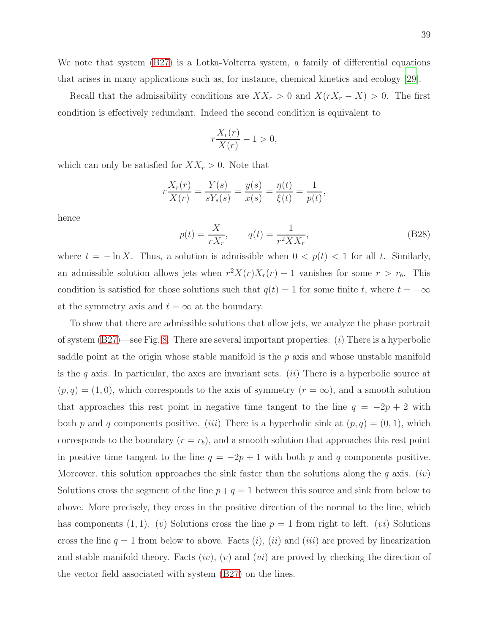We note that system [\(B27\)](#page-37-0) is a Lotka-Volterra system, a family of differential equations that arises in many applications such as, for instance, chemical kinetics and ecology [\[29](#page-47-10)].

Recall that the admissibility conditions are  $XX_r > 0$  and  $X(rX_r - X) > 0$ . The first condition is effectively redundant. Indeed the second condition is equivalent to

$$
r\frac{X_r(r)}{X(r)} - 1 > 0,
$$

which can only be satisfied for  $XX_r > 0$ . Note that

$$
r\frac{X_r(r)}{X(r)} = \frac{Y(s)}{sY_s(s)} = \frac{y(s)}{x(s)} = \frac{\eta(t)}{\xi(t)} = \frac{1}{p(t)},
$$

hence

<span id="page-38-0"></span>
$$
p(t) = \frac{X}{rX_r}, \qquad q(t) = \frac{1}{r^2XX_r},
$$
 (B28)

where  $t = -\ln X$ . Thus, a solution is admissible when  $0 < p(t) < 1$  for all t. Similarly, an admissible solution allows jets when  $r^2X(r)X_r(r) - 1$  vanishes for some  $r > r_b$ . This condition is satisfied for those solutions such that  $q(t) = 1$  for some finite t, where  $t = -\infty$ at the symmetry axis and  $t = \infty$  at the boundary.

To show that there are admissible solutions that allow jets, we analyze the phase portrait of system  $(B27)$ —see Fig. [8.](#page-39-0) There are several important properties: *(i)* There is a hyperbolic saddle point at the origin whose stable manifold is the  $p$  axis and whose unstable manifold is the q axis. In particular, the axes are invariant sets.  $(ii)$  There is a hyperbolic source at  $(p, q) = (1, 0)$ , which corresponds to the axis of symmetry  $(r = \infty)$ , and a smooth solution that approaches this rest point in negative time tangent to the line  $q = -2p + 2$  with both p and q components positive. (iii) There is a hyperbolic sink at  $(p, q) = (0, 1)$ , which corresponds to the boundary  $(r = r_b)$ , and a smooth solution that approaches this rest point in positive time tangent to the line  $q = -2p + 1$  with both p and q components positive. Moreover, this solution approaches the sink faster than the solutions along the q axis. (iv) Solutions cross the segment of the line  $p+q=1$  between this source and sink from below to above. More precisely, they cross in the positive direction of the normal to the line, which has components (1, 1). (v) Solutions cross the line  $p = 1$  from right to left. (vi) Solutions cross the line  $q = 1$  from below to above. Facts  $(i)$ ,  $(ii)$  and  $(iii)$  are proved by linearization and stable manifold theory. Facts  $(iv)$ ,  $(v)$  and  $(vi)$  are proved by checking the direction of the vector field associated with system [\(B27\)](#page-37-0) on the lines.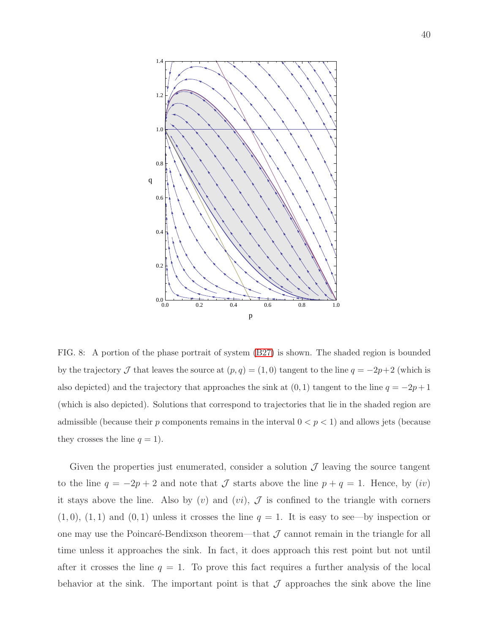

<span id="page-39-0"></span>FIG. 8: A portion of the phase portrait of system [\(B27\)](#page-37-0) is shown. The shaded region is bounded by the trajectory  $\mathcal J$  that leaves the source at  $(p, q) = (1, 0)$  tangent to the line  $q = -2p+2$  (which is also depicted) and the trajectory that approaches the sink at  $(0, 1)$  tangent to the line  $q = -2p + 1$ (which is also depicted). Solutions that correspond to trajectories that lie in the shaded region are admissible (because their  $p$  components remains in the interval  $0 < p < 1$ ) and allows jets (because they crosses the line  $q = 1$ ).

Given the properties just enumerated, consider a solution  $\mathcal J$  leaving the source tangent to the line  $q = -2p + 2$  and note that  $\mathcal J$  starts above the line  $p + q = 1$ . Hence, by  $(iv)$ it stays above the line. Also by  $(v)$  and  $(vi)$ ,  $\mathcal{J}$  is confined to the triangle with corners  $(1, 0), (1, 1)$  and  $(0, 1)$  unless it crosses the line  $q = 1$ . It is easy to see—by inspection or one may use the Poincaré-Bendixson theorem—that  $J$  cannot remain in the triangle for all time unless it approaches the sink. In fact, it does approach this rest point but not until after it crosses the line  $q = 1$ . To prove this fact requires a further analysis of the local behavior at the sink. The important point is that  $\mathcal J$  approaches the sink above the line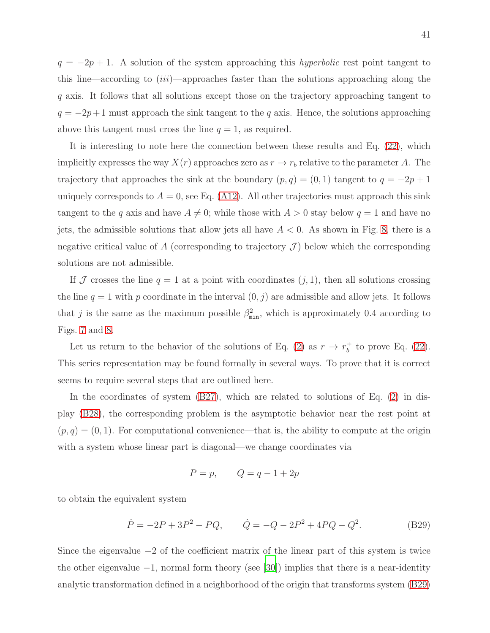$q = -2p + 1$ . A solution of the system approaching this *hyperbolic* rest point tangent to this line—according to  $(iii)$ —approaches faster than the solutions approaching along the q axis. It follows that all solutions except those on the trajectory approaching tangent to  $q = -2p+1$  must approach the sink tangent to the q axis. Hence, the solutions approaching above this tangent must cross the line  $q = 1$ , as required.

It is interesting to note here the connection between these results and Eq. [\(22\)](#page-11-0), which implicitly expresses the way  $X(r)$  approaches zero as  $r \to r_b$  relative to the parameter A. The trajectory that approaches the sink at the boundary  $(p, q) = (0, 1)$  tangent to  $q = -2p + 1$ uniquely corresponds to  $A = 0$ , see Eq. [\(A12\)](#page-30-1). All other trajectories must approach this sink tangent to the q axis and have  $A \neq 0$ ; while those with  $A > 0$  stay below  $q = 1$  and have no jets, the admissible solutions that allow jets all have  $A < 0$ . As shown in Fig. [8,](#page-39-0) there is a negative critical value of A (corresponding to trajectory  $\mathcal{J}$ ) below which the corresponding solutions are not admissible.

If  $J$  crosses the line  $q = 1$  at a point with coordinates  $(j, 1)$ , then all solutions crossing the line  $q = 1$  with p coordinate in the interval  $(0, j)$  are admissible and allow jets. It follows that j is the same as the maximum possible  $\beta_{\min}^2$ , which is approximately 0.4 according to Figs. [7](#page-35-0) and [8.](#page-39-0)

Let us return to the behavior of the solutions of Eq. [\(2\)](#page-3-0) as  $r \to r_b^+$  $_b^+$  to prove Eq. [\(22\)](#page-11-0). This series representation may be found formally in several ways. To prove that it is correct seems to require several steps that are outlined here.

In the coordinates of system [\(B27\)](#page-37-0), which are related to solutions of Eq. [\(2\)](#page-3-0) in display [\(B28\)](#page-38-0), the corresponding problem is the asymptotic behavior near the rest point at  $(p, q) = (0, 1)$ . For computational convenience—that is, the ability to compute at the origin with a system whose linear part is diagonal—we change coordinates via

$$
P = p, \qquad Q = q - 1 + 2p
$$

to obtain the equivalent system

<span id="page-40-0"></span>
$$
\dot{P} = -2P + 3P^2 - PQ, \qquad \dot{Q} = -Q - 2P^2 + 4PQ - Q^2. \tag{B29}
$$

Since the eigenvalue −2 of the coefficient matrix of the linear part of this system is twice the other eigenvalue −1, normal form theory (see [\[30](#page-47-11)]) implies that there is a near-identity analytic transformation defined in a neighborhood of the origin that transforms system [\(B29\)](#page-40-0)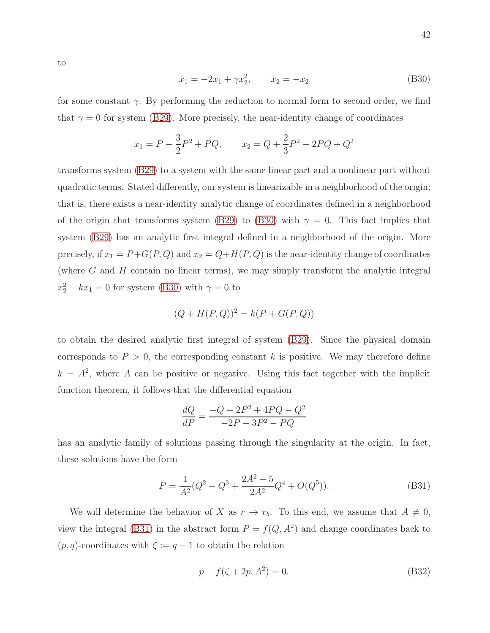to

<span id="page-41-0"></span>
$$
\dot{x}_1 = -2x_1 + \gamma x_2^2, \qquad \dot{x}_2 = -x_2 \tag{B30}
$$

for some constant  $\gamma$ . By performing the reduction to normal form to second order, we find that  $\gamma = 0$  for system [\(B29\)](#page-40-0). More precisely, the near-identity change of coordinates

$$
x_1 = P - \frac{3}{2}P^2 + PQ
$$
,  $x_2 = Q + \frac{2}{3}P^2 - 2PQ + Q^2$ 

transforms system [\(B29\)](#page-40-0) to a system with the same linear part and a nonlinear part without quadratic terms. Stated differently, our system is linearizable in a neighborhood of the origin; that is, there exists a near-identity analytic change of coordinates defined in a neighborhood of the origin that transforms system [\(B29\)](#page-40-0) to [\(B30\)](#page-41-0) with  $\gamma = 0$ . This fact implies that system [\(B29\)](#page-40-0) has an analytic first integral defined in a neighborhood of the origin. More precisely, if  $x_1 = P + G(P, Q)$  and  $x_2 = Q + H(P, Q)$  is the near-identity change of coordinates (where  $G$  and  $H$  contain no linear terms), we may simply transform the analytic integral  $x_2^2 - kx_1 = 0$  for system [\(B30\)](#page-41-0) with  $\gamma = 0$  to

$$
(Q + H(P, Q))^{2} = k(P + G(P, Q))
$$

to obtain the desired analytic first integral of system [\(B29\)](#page-40-0). Since the physical domain corresponds to  $P > 0$ , the corresponding constant k is positive. We may therefore define  $k = A<sup>2</sup>$ , where A can be positive or negative. Using this fact together with the implicit function theorem, it follows that the differential equation

$$
\frac{dQ}{dP} = \frac{-Q - 2P^2 + 4PQ - Q^2}{-2P + 3P^2 - PQ}
$$

has an analytic family of solutions passing through the singularity at the origin. In fact, these solutions have the form

<span id="page-41-1"></span>
$$
P = \frac{1}{A^2} (Q^2 - Q^3 + \frac{2A^2 + 5}{2A^2} Q^4 + O(Q^5)).
$$
 (B31)

We will determine the behavior of X as  $r \to r_b$ . To this end, we assume that  $A \neq 0$ , view the integral [\(B31\)](#page-41-1) in the abstract form  $P = f(Q, A^2)$  and change coordinates back to  $(p, q)$ -coordinates with  $\zeta := q - 1$  to obtain the relation

$$
p - f(\zeta + 2p, A^2) = 0.
$$
 (B32)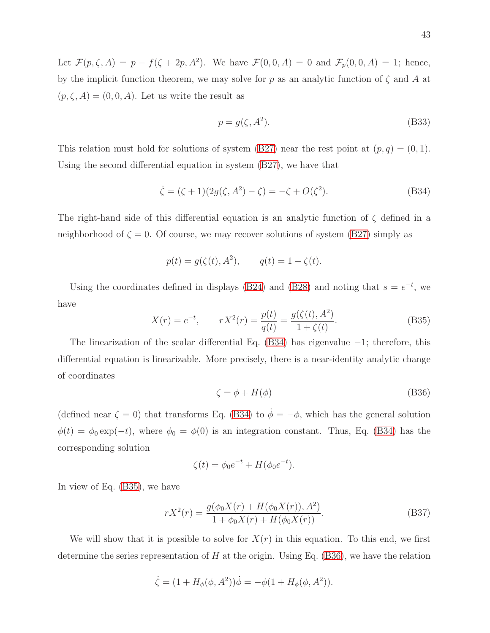Let  $\mathcal{F}(p,\zeta,A) = p - f(\zeta + 2p,A^2)$ . We have  $\mathcal{F}(0,0,A) = 0$  and  $\mathcal{F}_p(0,0,A) = 1$ ; hence, by the implicit function theorem, we may solve for p as an analytic function of  $\zeta$  and A at  $(p, \zeta, A) = (0, 0, A)$ . Let us write the result as

$$
p = g(\zeta, A^2). \tag{B33}
$$

This relation must hold for solutions of system [\(B27\)](#page-37-0) near the rest point at  $(p, q) = (0, 1)$ . Using the second differential equation in system [\(B27\)](#page-37-0), we have that

<span id="page-42-0"></span>
$$
\dot{\zeta} = (\zeta + 1)(2g(\zeta, A^2) - \zeta) = -\zeta + O(\zeta^2). \tag{B34}
$$

The right-hand side of this differential equation is an analytic function of  $\zeta$  defined in a neighborhood of  $\zeta = 0$ . Of course, we may recover solutions of system [\(B27\)](#page-37-0) simply as

$$
p(t) = g(\zeta(t), A^2), \qquad q(t) = 1 + \zeta(t).
$$

Using the coordinates defined in displays [\(B24\)](#page-37-2) and [\(B28\)](#page-38-0) and noting that  $s = e^{-t}$ , we have

<span id="page-42-1"></span>
$$
X(r) = e^{-t}, \qquad rX^2(r) = \frac{p(t)}{q(t)} = \frac{g(\zeta(t), A^2)}{1 + \zeta(t)}.
$$
 (B35)

The linearization of the scalar differential Eq. [\(B34\)](#page-42-0) has eigenvalue −1; therefore, this differential equation is linearizable. More precisely, there is a near-identity analytic change of coordinates

<span id="page-42-2"></span>
$$
\zeta = \phi + H(\phi) \tag{B36}
$$

(defined near  $\zeta = 0$ ) that transforms Eq. [\(B34\)](#page-42-0) to  $\dot{\phi} = -\phi$ , which has the general solution  $\phi(t) = \phi_0 \exp(-t)$ , where  $\phi_0 = \phi(0)$  is an integration constant. Thus, Eq. [\(B34\)](#page-42-0) has the corresponding solution

<span id="page-42-3"></span>
$$
\zeta(t) = \phi_0 e^{-t} + H(\phi_0 e^{-t}).
$$

In view of Eq. [\(B35\)](#page-42-1), we have

$$
rX^{2}(r) = \frac{g(\phi_{0}X(r) + H(\phi_{0}X(r)), A^{2})}{1 + \phi_{0}X(r) + H(\phi_{0}X(r))}.
$$
\n(B37)

We will show that it is possible to solve for  $X(r)$  in this equation. To this end, we first determine the series representation of  $H$  at the origin. Using Eq. [\(B36\)](#page-42-2), we have the relation

$$
\dot{\zeta} = (1 + H_{\phi}(\phi, A^2))\dot{\phi} = -\phi(1 + H_{\phi}(\phi, A^2)).
$$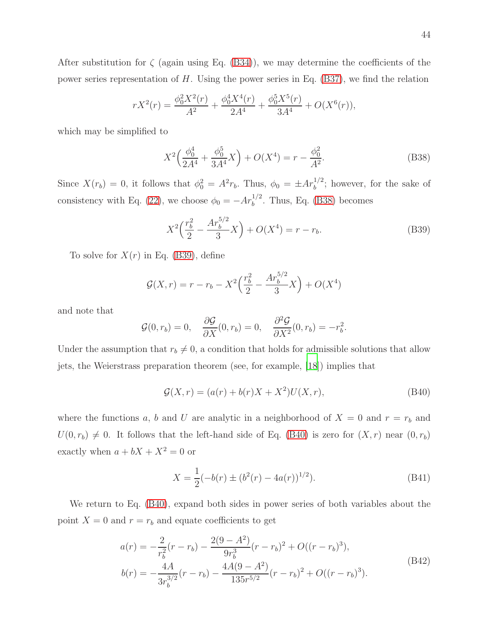After substitution for  $\zeta$  (again using Eq. [\(B34\)](#page-42-0)), we may determine the coefficients of the power series representation of  $H$ . Using the power series in Eq. [\(B37\)](#page-42-3), we find the relation

$$
rX^{2}(r) = \frac{\phi_{0}^{2}X^{2}(r)}{A^{2}} + \frac{\phi_{0}^{4}X^{4}(r)}{2A^{4}} + \frac{\phi_{0}^{5}X^{5}(r)}{3A^{4}} + O(X^{6}(r)),
$$

which may be simplified to

<span id="page-43-0"></span>
$$
X^{2}\left(\frac{\phi_{0}^{4}}{2A^{4}} + \frac{\phi_{0}^{5}}{3A^{4}}X\right) + O(X^{4}) = r - \frac{\phi_{0}^{2}}{A^{2}}.
$$
 (B38)

Since  $X(r_b) = 0$ , it follows that  $\phi_0^2 = A^2 r_b$ . Thus,  $\phi_0 = \pm Ar_b^{1/2}$ ; however, for the sake of consistency with Eq. [\(22\)](#page-11-0), we choose  $\phi_0 = -Ar_b^{1/2}$ . Thus, Eq. [\(B38\)](#page-43-0) becomes

<span id="page-43-1"></span>
$$
X^{2}\left(\frac{r_b^{2}}{2} - \frac{Ar_b^{5/2}}{3}X\right) + O(X^{4}) = r - r_b.
$$
 (B39)

To solve for  $X(r)$  in Eq. [\(B39\)](#page-43-1), define

$$
\mathcal{G}(X,r) = r - r_b - X^2 \left(\frac{r_b^2}{2} - \frac{Ar_b^{5/2}}{3}X\right) + O(X^4)
$$

and note that

$$
\mathcal{G}(0,r_b) = 0, \quad \frac{\partial \mathcal{G}}{\partial X}(0,r_b) = 0, \quad \frac{\partial^2 \mathcal{G}}{\partial X^2}(0,r_b) = -r_b^2.
$$

Under the assumption that  $r_b \neq 0$ , a condition that holds for admissible solutions that allow jets, the Weierstrass preparation theorem (see, for example, [\[18\]](#page-46-12)) implies that

<span id="page-43-2"></span>
$$
G(X,r) = (a(r) + b(r)X + X^2)U(X,r),
$$
 (B40)

where the functions a, b and U are analytic in a neighborhood of  $X = 0$  and  $r = r_b$  and  $U(0, r_b) \neq 0$ . It follows that the left-hand side of Eq. [\(B40\)](#page-43-2) is zero for  $(X, r)$  near  $(0, r_b)$ exactly when  $a + bX + X^2 = 0$  or

<span id="page-43-3"></span>
$$
X = \frac{1}{2}(-b(r) \pm (b^2(r) - 4a(r))^{1/2}).
$$
 (B41)

We return to Eq. [\(B40\)](#page-43-2), expand both sides in power series of both variables about the point  $X = 0$  and  $r = r_b$  and equate coefficients to get

$$
a(r) = -\frac{2}{r_b^2}(r - r_b) - \frac{2(9 - A^2)}{9r_b^3}(r - r_b)^2 + O((r - r_b)^3),
$$
  
\n
$$
b(r) = -\frac{4A}{3r_b^{3/2}}(r - r_b) - \frac{4A(9 - A^2)}{135r^{5/2}}(r - r_b)^2 + O((r - r_b)^3).
$$
\n(B42)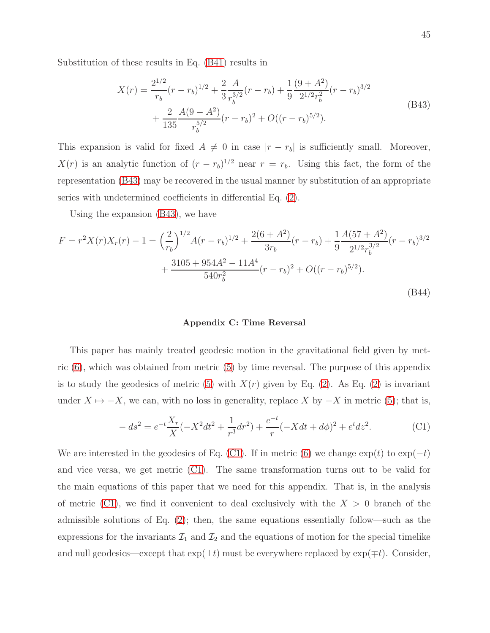<span id="page-44-2"></span>Substitution of these results in Eq. [\(B41\)](#page-43-3) results in

$$
X(r) = \frac{2^{1/2}}{r_b} (r - r_b)^{1/2} + \frac{2}{3} \frac{A}{r_b^{3/2}} (r - r_b) + \frac{1}{9} \frac{(9 + A^2)}{2^{1/2} r_b^2} (r - r_b)^{3/2} + \frac{2}{135} \frac{A(9 - A^2)}{r_b^{5/2}} (r - r_b)^2 + O((r - r_b)^{5/2}).
$$
\n(B43)

This expansion is valid for fixed  $A \neq 0$  in case  $|r - r_b|$  is sufficiently small. Moreover,  $X(r)$  is an analytic function of  $(r - r_b)^{1/2}$  near  $r = r_b$ . Using this fact, the form of the representation [\(B43\)](#page-44-2) may be recovered in the usual manner by substitution of an appropriate series with undetermined coefficients in differential Eq. [\(2\)](#page-3-0).

Using the expansion [\(B43\)](#page-44-2), we have

$$
F = r^2 X(r) X_r(r) - 1 = \left(\frac{2}{r_b}\right)^{1/2} A(r - r_b)^{1/2} + \frac{2(6 + A^2)}{3r_b} (r - r_b) + \frac{1}{9} \frac{A(57 + A^2)}{2^{1/2} r_b^{3/2}} (r - r_b)^{3/2} + \frac{3105 + 954A^2 - 11A^4}{540r_b^2} (r - r_b)^2 + O((r - r_b)^{5/2}).
$$
\n(B44)

#### <span id="page-44-1"></span><span id="page-44-0"></span>Appendix C: Time Reversal

This paper has mainly treated geodesic motion in the gravitational field given by metric [\(6\)](#page-4-1), which was obtained from metric [\(5\)](#page-4-0) by time reversal. The purpose of this appendix is to study the geodesics of metric  $(5)$  with  $X(r)$  given by Eq.  $(2)$ . As Eq.  $(2)$  is invariant under  $X \mapsto -X$ , we can, with no loss in generality, replace X by  $-X$  in metric [\(5\)](#page-4-0); that is,

<span id="page-44-3"></span>
$$
-ds^{2} = e^{-t}\frac{X_{r}}{X}(-X^{2}dt^{2} + \frac{1}{r^{3}}dr^{2}) + \frac{e^{-t}}{r}(-Xdt + d\phi)^{2} + e^{t}dz^{2}.
$$
 (C1)

We are interested in the geodesics of Eq. [\(C1\)](#page-44-3). If in metric [\(6\)](#page-4-1) we change  $\exp(t)$  to  $\exp(-t)$ and vice versa, we get metric [\(C1\)](#page-44-3). The same transformation turns out to be valid for the main equations of this paper that we need for this appendix. That is, in the analysis of metric [\(C1\)](#page-44-3), we find it convenient to deal exclusively with the  $X > 0$  branch of the admissible solutions of Eq. [\(2\)](#page-3-0); then, the same equations essentially follow—such as the expressions for the invariants  $\mathcal{I}_1$  and  $\mathcal{I}_2$  and the equations of motion for the special timelike and null geodesics—except that  $exp(\pm t)$  must be everywhere replaced by  $exp(\mp t)$ . Consider,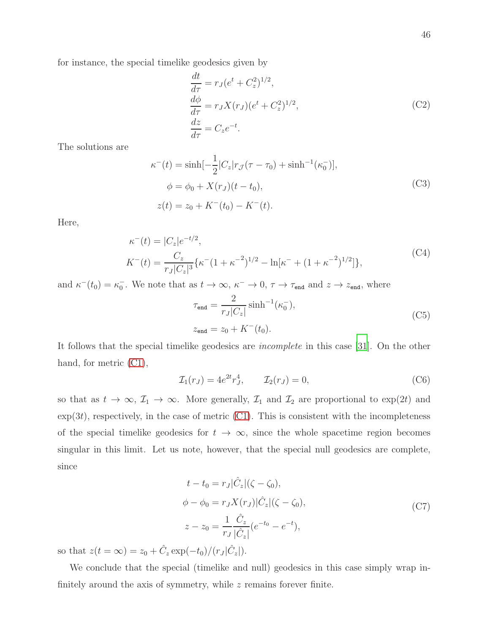for instance, the special timelike geodesics given by

$$
\begin{aligned}\n\frac{dt}{d\tau} &= r_J (e^t + C_z^2)^{1/2},\\
\frac{d\phi}{d\tau} &= r_J X(r_J) (e^t + C_z^2)^{1/2},\\
\frac{dz}{d\tau} &= C_z e^{-t}.\n\end{aligned} \tag{C2}
$$

The solutions are

$$
\kappa^{-}(t) = \sinh[-\frac{1}{2}|C_z|r_{\mathcal{J}}(\tau - \tau_0) + \sinh^{-1}(\kappa_0)],
$$
  
\n
$$
\phi = \phi_0 + X(r_J)(t - t_0),
$$
  
\n
$$
z(t) = z_0 + K^{-}(t_0) - K^{-}(t).
$$
\n(C3)

Here,

$$
\kappa^{-}(t) = |C_{z}|e^{-t/2},
$$
\n
$$
K^{-}(t) = \frac{C_{z}}{r_{J}|C_{z}|^{3}} \{\kappa^{-}(1+\kappa^{-2})^{1/2} - \ln[\kappa^{-} + (1+\kappa^{-2})^{1/2}]\},
$$
\n(C4)

and  $\kappa^-(t_0) = \kappa_0^ _0^-$ . We note that as  $t \to \infty$ ,  $\kappa^- \to 0$ ,  $\tau \to \tau_{end}$  and  $z \to z_{end}$ , where

$$
\tau_{\text{end}} = \frac{2}{r_J |C_z|} \sinh^{-1}(\kappa_0^{-}),
$$
\n
$$
z_{\text{end}} = z_0 + K^{-}(t_0).
$$
\n(C5)

It follows that the special timelike geodesics are incomplete in this case [\[31](#page-47-12)]. On the other hand, for metric  $(Cl)$ ,

$$
\mathcal{I}_1(r_J) = 4e^{2t}r_J^4, \qquad \mathcal{I}_2(r_J) = 0,
$$
\n(C6)

so that as  $t \to \infty$ ,  $\mathcal{I}_1 \to \infty$ . More generally,  $\mathcal{I}_1$  and  $\mathcal{I}_2$  are proportional to  $\exp(2t)$  and  $\exp(3t)$ , respectively, in the case of metric [\(C1\)](#page-44-3). This is consistent with the incompleteness of the special timelike geodesics for  $t \to \infty$ , since the whole spacetime region becomes singular in this limit. Let us note, however, that the special null geodesics are complete, since

$$
t - t_0 = r_J |\hat{C}_z| (\zeta - \zeta_0),
$$
  
\n
$$
\phi - \phi_0 = r_J X(r_J) |\hat{C}_z| (\zeta - \zeta_0),
$$
  
\n
$$
z - z_0 = \frac{1}{r_J} \frac{\hat{C}_z}{|\hat{C}_z|} (e^{-t_0} - e^{-t}),
$$
\n(C7)

so that  $z(t = \infty) = z_0 + \hat{C}_z \exp(-t_0)/(r_J|\hat{C}_z|).$ 

We conclude that the special (timelike and null) geodesics in this case simply wrap infinitely around the axis of symmetry, while  $z$  remains forever finite.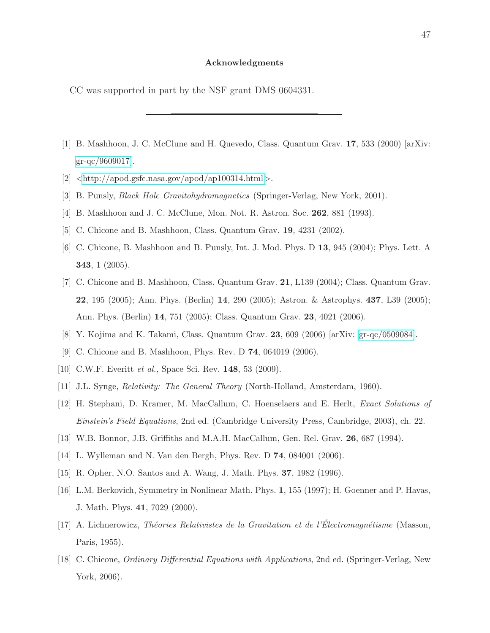#### Acknowledgments

CC was supported in part by the NSF grant DMS 0604331.

- <span id="page-46-0"></span>[1] B. Mashhoon, J. C. McClune and H. Quevedo, Class. Quantum Grav. 17, 533 (2000) [arXiv: [gr-qc/9609017\]](http://arxiv.org/abs/gr-qc/9609017).
- <span id="page-46-2"></span><span id="page-46-1"></span> $[2]$  <<http://apod.gsfc.nasa.gov/apod/ap100314.html>>.
- <span id="page-46-3"></span>[3] B. Punsly, Black Hole Gravitohydromagnetics (Springer-Verlag, New York, 2001).
- <span id="page-46-13"></span>[4] B. Mashhoon and J. C. McClune, Mon. Not. R. Astron. Soc. 262, 881 (1993).
- [5] C. Chicone and B. Mashhoon, Class. Quantum Grav. 19, 4231 (2002).
- [6] C. Chicone, B. Mashhoon and B. Punsly, Int. J. Mod. Phys. D 13, 945 (2004); Phys. Lett. A 343, 1 (2005).
- [7] C. Chicone and B. Mashhoon, Class. Quantum Grav. 21, L139 (2004); Class. Quantum Grav. 22, 195 (2005); Ann. Phys. (Berlin) 14, 290 (2005); Astron. & Astrophys. 437, L39 (2005); Ann. Phys. (Berlin) 14, 751 (2005); Class. Quantum Grav. 23, 4021 (2006).
- <span id="page-46-4"></span>[8] Y. Kojima and K. Takami, Class. Quantum Grav. 23, 609 (2006) [arXiv: [gr-qc/0509084\]](http://arxiv.org/abs/gr-qc/0509084).
- [9] C. Chicone and B. Mashhoon, Phys. Rev. D 74, 064019 (2006).
- <span id="page-46-5"></span>[10] C.W.F. Everitt *et al.*, Space Sci. Rev. **148**, 53 (2009).
- <span id="page-46-6"></span>[11] J.L. Synge, Relativity: The General Theory (North-Holland, Amsterdam, 1960).
- <span id="page-46-7"></span>[12] H. Stephani, D. Kramer, M. MacCallum, C. Hoenselaers and E. Herlt, Exact Solutions of Einstein's Field Equations, 2nd ed. (Cambridge University Press, Cambridge, 2003), ch. 22.
- [13] W.B. Bonnor, J.B. Griffiths and M.A.H. MacCallum, Gen. Rel. Grav. 26, 687 (1994).
- <span id="page-46-8"></span>[14] L. Wylleman and N. Van den Bergh, Phys. Rev. D 74, 084001 (2006).
- <span id="page-46-10"></span><span id="page-46-9"></span>[15] R. Opher, N.O. Santos and A. Wang, J. Math. Phys. 37, 1982 (1996).
- [16] L.M. Berkovich, Symmetry in Nonlinear Math. Phys. 1, 155 (1997); H. Goenner and P. Havas, J. Math. Phys. 41, 7029 (2000).
- <span id="page-46-11"></span>[17] A. Lichnerowicz, Théories Relativistes de la Gravitation et de l'Électromagnétisme (Masson, Paris, 1955).
- <span id="page-46-12"></span>[18] C. Chicone, Ordinary Differential Equations with Applications, 2nd ed. (Springer-Verlag, New York, 2006).